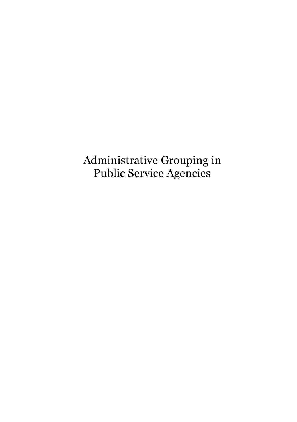Administrative Grouping in Public Service Agencies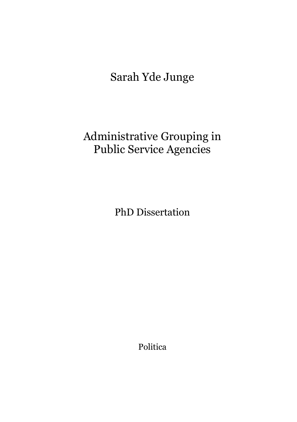# Sarah Yde Junge

# Administrative Grouping in Public Service Agencies

PhD Dissertation

Politica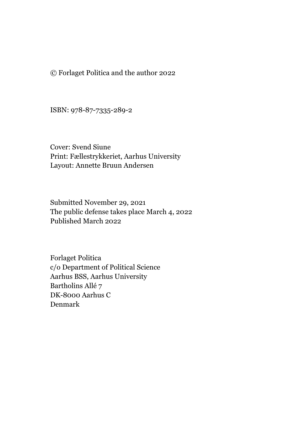© Forlaget Politica and the author 2022

ISBN: 978-87-7335-289-2

Cover: Svend Siune Print: Fællestrykkeriet, Aarhus University Layout: Annette Bruun Andersen

Submitted November 29, 2021 The public defense takes place March 4, 2022 Published March 2022

Forlaget Politica c/o Department of Political Science Aarhus BSS, Aarhus University Bartholins Allé 7 DK-8000 Aarhus C Denmark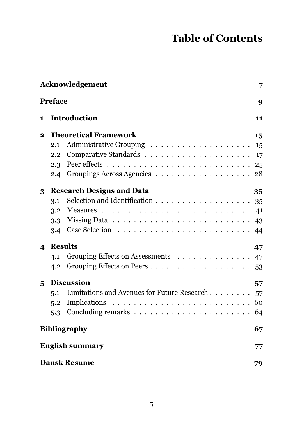## **Table of Contents**

| Acknowledgement<br>7       |                                  |                                             |    |
|----------------------------|----------------------------------|---------------------------------------------|----|
| <b>Preface</b>             |                                  |                                             | 9  |
| 1.                         |                                  | <b>Introduction</b>                         | 11 |
| $\mathbf{2}$               |                                  | <b>Theoretical Framework</b>                | 15 |
|                            | 2.1                              |                                             |    |
|                            | 2.2                              |                                             |    |
|                            | 2.3                              |                                             |    |
|                            |                                  |                                             |    |
| 3                          | <b>Research Designs and Data</b> |                                             | 35 |
|                            | 3.1                              |                                             |    |
|                            | 3.2                              |                                             |    |
|                            | 3.3 <sub>1</sub>                 |                                             |    |
|                            |                                  |                                             |    |
| $\boldsymbol{\mathcal{A}}$ | <b>Results</b>                   |                                             | 47 |
|                            | 4.1                              | Grouping Effects on Assessments             | 47 |
|                            |                                  |                                             |    |
| 5                          | <b>Discussion</b>                |                                             | 57 |
|                            | 5.1                              | Limitations and Avenues for Future Research | 57 |
|                            | 5.2                              |                                             | 60 |
|                            | 5.3                              |                                             | 64 |
| <b>Bibliography</b>        |                                  |                                             | 67 |
|                            | <b>English summary</b>           |                                             |    |
| <b>Dansk Resume</b>        |                                  |                                             | 79 |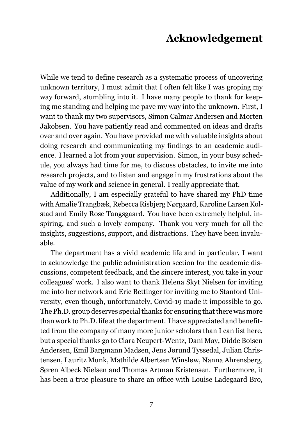## **Acknowledgement**

<span id="page-6-0"></span>While we tend to define research as a systematic process of uncovering unknown territory, I must admit that I often felt like I was groping my way forward, stumbling into it. I have many people to thank for keeping me standing and helping me pave my way into the unknown. First, I want to thank my two supervisors, Simon Calmar Andersen and Morten Jakobsen. You have patiently read and commented on ideas and drafts over and over again. You have provided me with valuable insights about doing research and communicating my findings to an academic audience. I learned a lot from your supervision. Simon, in your busy schedule, you always had time for me, to discuss obstacles, to invite me into research projects, and to listen and engage in my frustrations about the value of my work and science in general. I really appreciate that.

Additionally, I am especially grateful to have shared my PhD time with Amalie Trangbæk, Rebecca Risbjerg Nørgaard, Karoline Larsen Kolstad and Emily Rose Tangsgaard. You have been extremely helpful, inspiring, and such a lovely company. Thank you very much for all the insights, suggestions, support, and distractions. They have been invaluable.

The department has a vivid academic life and in particular, I want to acknowledge the public administration section for the academic discussions, competent feedback, and the sincere interest, you take in your colleagues' work. I also want to thank Helena Skyt Nielsen for inviting me into her network and Eric Bettinger for inviting me to Stanford University, even though, unfortunately, Covid-19 made it impossible to go. The Ph.D. group deserves special thanks for ensuring that there was more than work to Ph.D. life at the department. I have appreciated and benefitted from the company of many more junior scholars than I can list here, but a special thanks go to Clara Neupert-Wentz, Dani May, Didde Boisen Andersen, Emil Bargmann Madsen, Jens Jørund Tyssedal, Julian Christensen, Lauritz Munk, Mathilde Albertsen Winsløw, Nanna Ahrensberg, Søren Albeck Nielsen and Thomas Artman Kristensen. Furthermore, it has been a true pleasure to share an office with Louise Ladegaard Bro,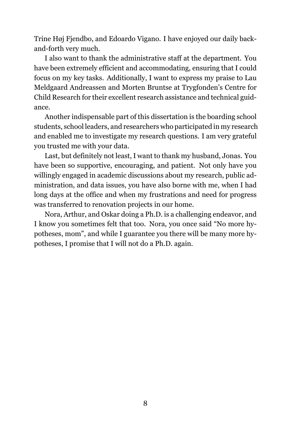Trine Høj Fjendbo, and Edoardo Vigano. I have enjoyed our daily backand-forth very much.

I also want to thank the administrative staff at the department. You have been extremely efficient and accommodating, ensuring that I could focus on my key tasks. Additionally, I want to express my praise to Lau Meldgaard Andreassen and Morten Bruntse at Trygfonden's Centre for Child Research for their excellent research assistance and technical guidance.

Another indispensable part of this dissertation is the boarding school students, school leaders, and researchers who participated in my research and enabled me to investigate my research questions. I am very grateful you trusted me with your data.

Last, but definitely not least, I want to thank my husband, Jonas. You have been so supportive, encouraging, and patient. Not only have you willingly engaged in academic discussions about my research, public administration, and data issues, you have also borne with me, when I had long days at the office and when my frustrations and need for progress was transferred to renovation projects in our home.

Nora, Arthur, and Oskar doing a Ph.D. is a challenging endeavor, and I know you sometimes felt that too. Nora, you once said "No more hypotheses, mom", and while I guarantee you there will be many more hypotheses, I promise that I will not do a Ph.D. again.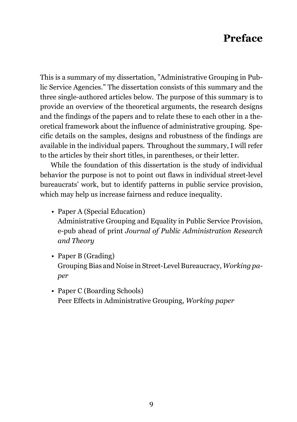## **Preface**

<span id="page-8-0"></span>This is a summary of my dissertation, "Administrative Grouping in Public Service Agencies." The dissertation consists of this summary and the three single-authored articles below. The purpose of this summary is to provide an overview of the theoretical arguments, the research designs and the findings of the papers and to relate these to each other in a theoretical framework about the influence of administrative grouping. Specific details on the samples, designs and robustness of the findings are available in the individual papers. Throughout the summary, I will refer to the articles by their short titles, in parentheses, or their letter.

While the foundation of this dissertation is the study of individual behavior the purpose is not to point out flaws in individual street-level bureaucrats' work, but to identify patterns in public service provision, which may help us increase fairness and reduce inequality.

- Paper A (Special Education) Administrative Grouping and Equality in Public Service Provision, e-pub ahead of print *Journal of Public Administration Research and Theory*
- Paper B (Grading) Grouping Bias and Noise in Street-Level Bureaucracy, *Working paper*
- Paper C (Boarding Schools) Peer Effects in Administrative Grouping, *Working paper*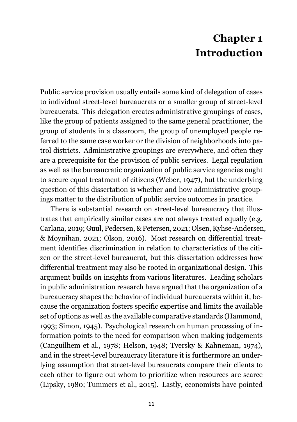## **Chapter 1 Introduction**

<span id="page-10-0"></span>Public service provision usually entails some kind of delegation of cases to individual street-level bureaucrats or a smaller group of street-level bureaucrats. This delegation creates administrative groupings of cases, like the group of patients assigned to the same general practitioner, the group of students in a classroom, the group of unemployed people referred to the same case worker or the division of neighborhoods into patrol districts. Administrative groupings are everywhere, and often they are a prerequisite for the provision of public services. Legal regulation as well as the bureaucratic organization of public service agencies ought to secure equal treatment of citizens (Weber, [1947\)](#page-74-0), but the underlying question of this dissertation is whether and how administrative groupings matter to the distribution of public service outcomes in practice.

There is substantial research on street-level bureaucracy that illustrates that empirically similar cases are not always treated equally (e.g. Carlana, [2019](#page-67-0); Guul, Pedersen, & Petersen, [2021;](#page-69-0) Olsen, Kyhse-Andersen, & Moynihan, [2021](#page-72-0); Olson, [2016\)](#page-72-1). Most research on differential treatment identifies discrimination in relation to characteristics of the citizen or the street-level bureaucrat, but this dissertation addresses how differential treatment may also be rooted in organizational design. This argument builds on insights from various literatures. Leading scholars in public administration research have argued that the organization of a bureaucracy shapes the behavior of individual bureaucrats within it, because the organization fosters specific expertise and limits the available set of options as well as the available comparative standards (Hammond, [1993;](#page-69-1) Simon, [1945](#page-73-0)). Psychological research on human processing of information points to the need for comparison when making judgements (Canguilhem et al., [1978](#page-67-1); Helson, [1948;](#page-69-2) Tversky & Kahneman, [1974\)](#page-74-1), and in the street-level bureaucracy literature it is furthermore an underlying assumption that street-level bureaucrats compare their clients to each other to figure out whom to prioritize when resources are scarce (Lipsky, [1980](#page-70-0); Tummers et al., [2015\)](#page-73-1). Lastly, economists have pointed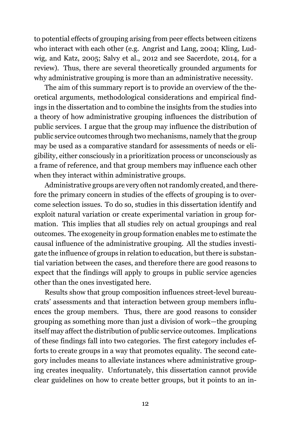to potential effects of grouping arising from peer effects between citizens who interact with each other (e.g. Angrist and Lang, [2004](#page-66-1); Kling, Ludwig, and Katz, [2005](#page-70-1); Salvy et al., [2012](#page-72-2) and see Sacerdote, [2014](#page-72-3), for a review). Thus, there are several theoretically grounded arguments for why administrative grouping is more than an administrative necessity.

The aim of this summary report is to provide an overview of the theoretical arguments, methodological considerations and empirical findings in the dissertation and to combine the insights from the studies into a theory of how administrative grouping influences the distribution of public services. I argue that the group may influence the distribution of public service outcomes through two mechanisms, namely that the group may be used as a comparative standard for assessments of needs or eligibility, either consciously in a prioritization process or unconsciously as a frame of reference, and that group members may influence each other when they interact within administrative groups.

Administrative groups are very often not randomly created, and therefore the primary concern in studies of the effects of grouping is to overcome selection issues. To do so, studies in this dissertation identify and exploit natural variation or create experimental variation in group formation. This implies that all studies rely on actual groupings and real outcomes. The exogeneity in group formation enables me to estimate the causal influence of the administrative grouping. All the studies investigate the influence of groups in relation to education, but there is substantial variation between the cases, and therefore there are good reasons to expect that the findings will apply to groups in public service agencies other than the ones investigated here.

Results show that group composition influences street-level bureaucrats' assessments and that interaction between group members influences the group members. Thus, there are good reasons to consider grouping as something more than just a division of work—the grouping itself may affect the distribution of public service outcomes. Implications of these findings fall into two categories. The first category includes efforts to create groups in a way that promotes equality. The second category includes means to alleviate instances where administrative grouping creates inequality. Unfortunately, this dissertation cannot provide clear guidelines on how to create better groups, but it points to an in-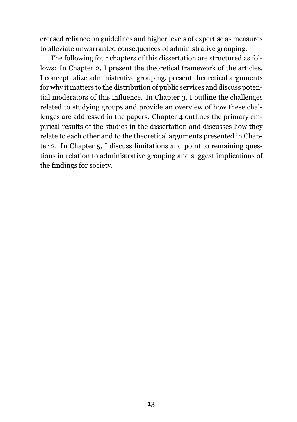creased reliance on guidelines and higher levels of expertise as measures to alleviate unwarranted consequences of administrative grouping.

The following four chapters of this dissertation are structured as follows: In Chapter [2,](#page-14-0) I present the theoretical framework of the articles. I conceptualize administrative grouping, present theoretical arguments for why it matters to the distribution of public services and discuss potential moderators of this influence. In Chapter [3](#page-34-0), I outline the challenges related to studying groups and provide an overview of how these challenges are addressed in the papers. Chapter [4](#page-46-0) outlines the primary empirical results of the studies in the dissertation and discusses how they relate to each other and to the theoretical arguments presented in Chapter [2.](#page-14-0) In Chapter [5](#page-56-0), I discuss limitations and point to remaining questions in relation to administrative grouping and suggest implications of the findings for society.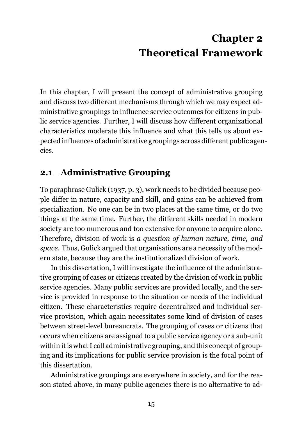## **Chapter 2 Theoretical Framework**

<span id="page-14-0"></span>In this chapter, I will present the concept of administrative grouping and discuss two different mechanisms through which we may expect administrative groupings to influence service outcomes for citizens in public service agencies. Further, I will discuss how different organizational characteristics moderate this influence and what this tells us about expected influences of administrative groupings across different public agencies.

## <span id="page-14-1"></span>**2.1 Administrative Grouping**

To paraphrase Gulick ([1937](#page-68-0), p. 3), work needs to be divided because people differ in nature, capacity and skill, and gains can be achieved from specialization. No one can be in two places at the same time, or do two things at the same time. Further, the different skills needed in modern society are too numerous and too extensive for anyone to acquire alone. Therefore, division of work is *a question of human nature, time, and space*. Thus, Gulick argued that organisations are a necessity of the modern state, because they are the institutionalized division of work.

In this dissertation, I will investigate the influence of the administrative grouping of cases or citizens created by the division of work in public service agencies. Many public services are provided locally, and the service is provided in response to the situation or needs of the individual citizen. These characteristics require decentralized and individual service provision, which again necessitates some kind of division of cases between street-level bureaucrats. The grouping of cases or citizens that occurs when citizens are assigned to a public service agency or a sub-unit within it is what I call administrative grouping, and this concept of grouping and its implications for public service provision is the focal point of this dissertation.

Administrative groupings are everywhere in society, and for the reason stated above, in many public agencies there is no alternative to ad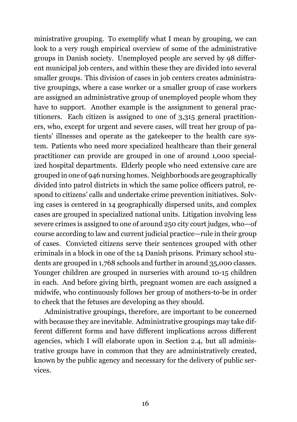ministrative grouping. To exemplify what I mean by grouping, we can look to a very rough empirical overview of some of the administrative groups in Danish society. Unemployed people are served by 98 different municipal job centers, and within these they are divided into several smaller groups. This division of cases in job centers creates administrative groupings, where a case worker or a smaller group of case workers are assigned an administrative group of unemployed people whom they have to support. Another example is the assignment to general practitioners. Each citizen is assigned to one of 3,315 general practitioners, who, except for urgent and severe cases, will treat her group of patients' illnesses and operate as the gatekeeper to the health care system. Patients who need more specialized healthcare than their general practitioner can provide are grouped in one of around 1,000 specialized hospital departments. Elderly people who need extensive care are grouped in one of 946 nursing homes. Neighborhoods are geographically divided into patrol districts in which the same police officers patrol, respond to citizens' calls and undertake crime prevention initiatives. Solving cases is centered in 14 geographically dispersed units, and complex cases are grouped in specialized national units. Litigation involving less severe crimes is assigned to one of around 250 city court judges, who—of course according to law and current judicial practice—rule in their group of cases. Convicted citizens serve their sentences grouped with other criminals in a block in one of the 14 Danish prisons. Primary school students are grouped in 1,768 schools and further in around 35,000 classes. Younger children are grouped in nurseries with around 10-15 children in each. And before giving birth, pregnant women are each assigned a midwife, who continuously follows her group of mothers-to-be in order to check that the fetuses are developing as they should.

Administrative groupings, therefore, are important to be concerned with because they are inevitable. Administrative groupings may take different different forms and have different implications across different agencies, which I will elaborate upon in Section [2.4,](#page-27-0) but all administrative groups have in common that they are administratively created, known by the public agency and necessary for the delivery of public services.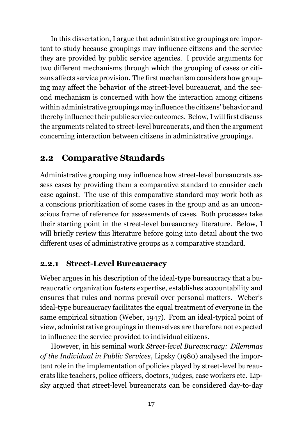In this dissertation, I argue that administrative groupings are important to study because groupings may influence citizens and the service they are provided by public service agencies. I provide arguments for two different mechanisms through which the grouping of cases or citizens affects service provision. The first mechanism considers how grouping may affect the behavior of the street-level bureaucrat, and the second mechanism is concerned with how the interaction among citizens within administrative groupings may influence the citizens' behavior and thereby influence their public service outcomes. Below, I will first discuss the arguments related to street-level bureaucrats, and then the argument concerning interaction between citizens in administrative groupings.

## <span id="page-16-0"></span>**2.2 Comparative Standards**

Administrative grouping may influence how street-level bureaucrats assess cases by providing them a comparative standard to consider each case against. The use of this comparative standard may work both as a conscious prioritization of some cases in the group and as an unconscious frame of reference for assessments of cases. Both processes take their starting point in the street-level bureaucracy literature. Below, I will briefly review this literature before going into detail about the two different uses of administrative groups as a comparative standard.

#### **2.2.1 Street-Level Bureaucracy**

Weber argues in his description of the ideal-type bureaucracy that a bureaucratic organization fosters expertise, establishes accountability and ensures that rules and norms prevail over personal matters. Weber's ideal-type bureaucracy facilitates the equal treatment of everyone in the same empirical situation (Weber, [1947\)](#page-74-0). From an ideal-typical point of view, administrative groupings in themselves are therefore not expected to influence the service provided to individual citizens.

However, in his seminal work *Street-level Bureaucracy: Dilemmas of the Individual in Public Services*, Lipsky [\(1980](#page-70-0)) analysed the important role in the implementation of policies played by street-level bureaucrats like teachers, police officers, doctors, judges, case workers etc. Lipsky argued that street-level bureaucrats can be considered day-to-day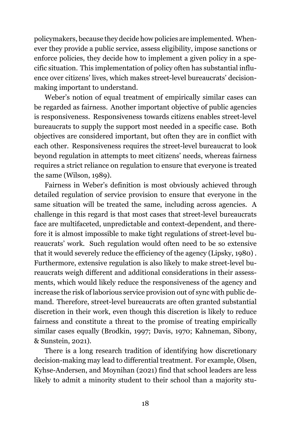policymakers, because they decide how policies are implemented. Whenever they provide a public service, assess eligibility, impose sanctions or enforce policies, they decide how to implement a given policy in a specific situation. This implementation of policy often has substantial influence over citizens' lives, which makes street-level bureaucrats' decisionmaking important to understand.

Weber's notion of equal treatment of empirically similar cases can be regarded as fairness. Another important objective of public agencies is responsiveness. Responsiveness towards citizens enables street-level bureaucrats to supply the support most needed in a specific case. Both objectives are considered important, but often they are in conflict with each other. Responsiveness requires the street-level bureaucrat to look beyond regulation in attempts to meet citizens' needs, whereas fairness requires a strict reliance on regulation to ensure that everyone is treated the same (Wilson, [1989](#page-74-2)).

Fairness in Weber's definition is most obviously achieved through detailed regulation of service provision to ensure that everyone in the same situation will be treated the same, including across agencies. A challenge in this regard is that most cases that street-level bureaucrats face are multifaceted, unpredictable and context-dependent, and therefore it is almost impossible to make tight regulations of street-level bureaucrats' work. Such regulation would often need to be so extensive that it would severely reduce the efficiency of the agency (Lipsky, [1980](#page-70-0)) . Furthermore, extensive regulation is also likely to make street-level bureaucrats weigh different and additional considerations in their assessments, which would likely reduce the responsiveness of the agency and increase the risk of laborious service provision out of sync with public demand. Therefore, street-level bureaucrats are often granted substantial discretion in their work, even though this discretion is likely to reduce fairness and constitute a threat to the promise of treating empirically similar cases equally (Brodkin, [1997;](#page-67-2) Davis, [1970;](#page-68-1) Kahneman, Sibony, & Sunstein, [2021\)](#page-70-2).

There is a long research tradition of identifying how discretionary decision-making may lead to differential treatment. For example, Olsen, Kyhse-Andersen, and Moynihan ([2021](#page-72-0)) find that school leaders are less likely to admit a minority student to their school than a majority stu-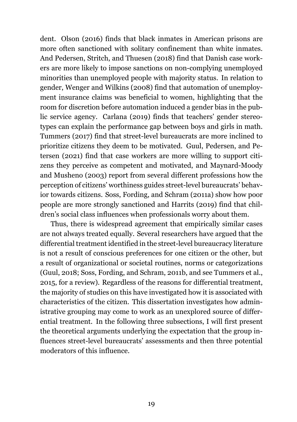dent. Olson ([2016](#page-72-1)) finds that black inmates in American prisons are more often sanctioned with solitary confinement than white inmates. And Pedersen, Stritch, and Thuesen [\(2018](#page-72-4)) find that Danish case workers are more likely to impose sanctions on non-complying unemployed minorities than unemployed people with majority status. In relation to gender, Wenger and Wilkins ([2008](#page-74-3)) find that automation of unemployment insurance claims was beneficial to women, highlighting that the room for discretion before automation induced a gender bias in the public service agency. Carlana [\(2019\)](#page-67-0) finds that teachers' gender stereotypes can explain the performance gap between boys and girls in math. Tummers ([2017\)](#page-73-2) find that street-level bureaucrats are more inclined to prioritize citizens they deem to be motivated. Guul, Pedersen, and Petersen ([2021](#page-69-0)) find that case workers are more willing to support citizens they perceive as competent and motivated, and Maynard-Moody and Musheno ([2003](#page-71-0)) report from several different professions how the perception of citizens' worthiness guides street-level bureaucrats' behavior towards citizens. Soss, Fording, and Schram ([2011a](#page-73-3)) show how poor people are more strongly sanctioned and Harrits [\(2019\)](#page-69-3) find that children's social class influences when professionals worry about them.

Thus, there is widespread agreement that empirically similar cases are not always treated equally. Several researchers have argued that the differential treatment identified in the street-level bureaucracy literature is not a result of conscious preferences for one citizen or the other, but a result of organizational or societal routines, norms or categorizations (Guul, [2018;](#page-68-2) Soss, Fording, and Schram, [2011b](#page-73-4), and see Tummers et al., [2015,](#page-73-1) for a review). Regardless of the reasons for differential treatment, the majority of studies on this have investigated how it is associated with characteristics of the citizen. This dissertation investigates how administrative grouping may come to work as an unexplored source of differential treatment. In the following three subsections, I will first present the theoretical arguments underlying the expectation that the group influences street-level bureaucrats' assessments and then three potential moderators of this influence.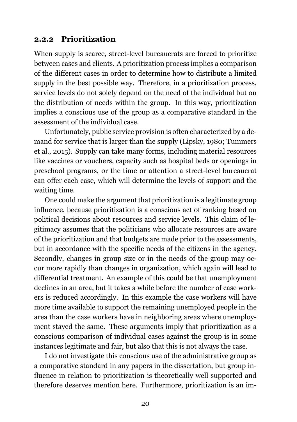#### <span id="page-19-0"></span>**2.2.2 Prioritization**

When supply is scarce, street-level bureaucrats are forced to prioritize between cases and clients. A prioritization process implies a comparison of the different cases in order to determine how to distribute a limited supply in the best possible way. Therefore, in a prioritization process, service levels do not solely depend on the need of the individual but on the distribution of needs within the group. In this way, prioritization implies a conscious use of the group as a comparative standard in the assessment of the individual case.

Unfortunately, public service provision is often characterized by a demand for service that is larger than the supply (Lipsky, [1980](#page-70-0); Tummers et al., [2015](#page-73-1)). Supply can take many forms, including material resources like vaccines or vouchers, capacity such as hospital beds or openings in preschool programs, or the time or attention a street-level bureaucrat can offer each case, which will determine the levels of support and the waiting time.

One could make the argument that prioritization is a legitimate group influence, because prioritization is a conscious act of ranking based on political decisions about resources and service levels. This claim of legitimacy assumes that the politicians who allocate resources are aware of the prioritization and that budgets are made prior to the assessments, but in accordance with the specific needs of the citizens in the agency. Secondly, changes in group size or in the needs of the group may occur more rapidly than changes in organization, which again will lead to differential treatment. An example of this could be that unemployment declines in an area, but it takes a while before the number of case workers is reduced accordingly. In this example the case workers will have more time available to support the remaining unemployed people in the area than the case workers have in neighboring areas where unemployment stayed the same. These arguments imply that prioritization as a conscious comparison of individual cases against the group is in some instances legitimate and fair, but also that this is not always the case.

I do not investigate this conscious use of the administrative group as a comparative standard in any papers in the dissertation, but group influence in relation to prioritization is theoretically well supported and therefore deserves mention here. Furthermore, prioritization is an im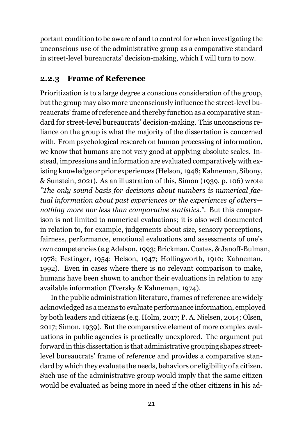portant condition to be aware of and to control for when investigating the unconscious use of the administrative group as a comparative standard in street-level bureaucrats' decision-making, which I will turn to now.

#### **2.2.3 Frame of Reference**

Prioritization is to a large degree a conscious consideration of the group, but the group may also more unconsciously influence the street-level bureaucrats' frame of reference and thereby function as a comparative standard for street-level bureaucrats' decision-making. This unconscious reliance on the group is what the majority of the dissertation is concerned with. From psychological research on human processing of information, we know that humans are not very good at applying absolute scales. Instead, impressions and information are evaluated comparatively with existing knowledge or prior experiences (Helson, [1948;](#page-69-2) Kahneman, Sibony, & Sunstein, [2021\)](#page-70-2). As an illustration of this, Simon ([1939](#page-73-5), p. 106) wrote *"The only sound basis for decisions about numbers is numerical factual information about past experiences or the experiences of others nothing more nor less than comparative statistics."*. But this comparison is not limited to numerical evaluations; it is also well documented in relation to, for example, judgements about size, sensory perceptions, fairness, performance, emotional evaluations and assessments of one's own competencies (e.g Adelson, [1993](#page-66-2); Brickman, Coates, & Janoff-Bulman, [1978;](#page-67-3) Festinger, [1954;](#page-68-3) Helson, [1947;](#page-69-4) Hollingworth, [1910](#page-69-5); Kahneman, [1992\)](#page-70-3). Even in cases where there is no relevant comparison to make, humans have been shown to anchor their evaluations in relation to any available information (Tversky & Kahneman, [1974](#page-74-1)).

In the public administration literature, frames of reference are widely acknowledged as a means to evaluate performance information, employed by both leaders and citizens (e.g. Holm, [2017;](#page-70-4) P. A. Nielsen, [2014](#page-71-1); Olsen, [2017;](#page-72-5) Simon, [1939](#page-73-5)). But the comparative element of more complex evaluations in public agencies is practically unexplored. The argument put forward in this dissertation is that administrative grouping shapes streetlevel bureaucrats' frame of reference and provides a comparative standard by which they evaluate the needs, behaviors or eligibility of a citizen. Such use of the administrative group would imply that the same citizen would be evaluated as being more in need if the other citizens in his ad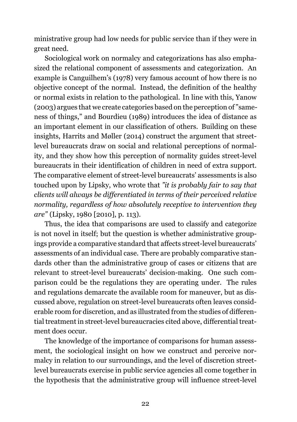ministrative group had low needs for public service than if they were in great need.

Sociological work on normalcy and categorizations has also emphasized the relational component of assessments and categorization. An example is Canguilhem's ([1978](#page-67-1)) very famous account of how there is no objective concept of the normal. Instead, the definition of the healthy or normal exists in relation to the pathological. In line with this, Yanow ([2003](#page-74-4)) argues that we create categories based on the perception of "sameness of things," and Bourdieu [\(1989\)](#page-66-3) introduces the idea of distance as an important element in our classification of others. Building on these insights, Harrits and Møller ([2014](#page-69-6)) construct the argument that streetlevel bureaucrats draw on social and relational perceptions of normality, and they show how this perception of normality guides street-level bureaucrats in their identification of children in need of extra support. The comparative element of street-level bureaucrats' assessments is also touched upon by Lipsky, who wrote that *"it is probably fair to say that clients will always be differentiated in terms of their perceived relative normality, regardless of how absolutely receptive to intervention they are"* (Lipsky, [1980](#page-70-0) [2010], p. 113).

Thus, the idea that comparisons are used to classify and categorize is not novel in itself; but the question is whether administrative groupings provide a comparative standard that affects street-level bureaucrats' assessments of an individual case. There are probably comparative standards other than the administrative group of cases or citizens that are relevant to street-level bureaucrats' decision-making. One such comparison could be the regulations they are operating under. The rules and regulations demarcate the available room for maneuver, but as discussed above, regulation on street-level bureaucrats often leaves considerable room for discretion, and as illustrated from the studies of differential treatment in street-level bureaucracies cited above, differential treatment does occur.

The knowledge of the importance of comparisons for human assessment, the sociological insight on how we construct and perceive normalcy in relation to our surroundings, and the level of discretion streetlevel bureaucrats exercise in public service agencies all come together in the hypothesis that the administrative group will influence street-level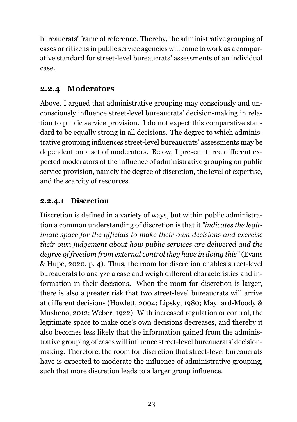bureaucrats' frame of reference. Thereby, the administrative grouping of cases or citizens in public service agencies will come to work as a comparative standard for street-level bureaucrats' assessments of an individual case.

## <span id="page-22-0"></span>**2.2.4 Moderators**

Above, I argued that administrative grouping may consciously and unconsciously influence street-level bureaucrats' decision-making in relation to public service provision. I do not expect this comparative standard to be equally strong in all decisions. The degree to which administrative grouping influences street-level bureaucrats' assessments may be dependent on a set of moderators. Below, I present three different expected moderators of the influence of administrative grouping on public service provision, namely the degree of discretion, the level of expertise, and the scarcity of resources.

## **2.2.4.1 Discretion**

Discretion is defined in a variety of ways, but within public administration a common understanding of discretion is that it *"indicates the legitimate space for the officials to make their own decisions and exercise their own judgement about how public services are delivered and the degree of freedom from external control they have in doing this"* (Evans & Hupe, [2020,](#page-68-4) p. 4). Thus, the room for discretion enables street-level bureaucrats to analyze a case and weigh different characteristics and information in their decisions. When the room for discretion is larger, there is also a greater risk that two street-level bureaucrats will arrive at different decisions (Howlett, [2004;](#page-70-5) Lipsky, [1980;](#page-70-0) Maynard-Moody & Musheno, [2012](#page-71-2); Weber, [1922](#page-74-5)). With increased regulation or control, the legitimate space to make one's own decisions decreases, and thereby it also becomes less likely that the information gained from the administrative grouping of cases will influence street-level bureaucrats' decisionmaking. Therefore, the room for discretion that street-level bureaucrats have is expected to moderate the influence of administrative grouping, such that more discretion leads to a larger group influence.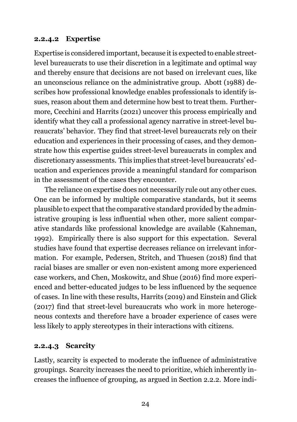#### **2.2.4.2 Expertise**

Expertise is considered important, because it is expected to enable streetlevel bureaucrats to use their discretion in a legitimate and optimal way and thereby ensure that decisions are not based on irrelevant cues, like an unconscious reliance on the administrative group. Abott [\(1988\)](#page-66-0) describes how professional knowledge enables professionals to identify issues, reason about them and determine how best to treat them. Furthermore, Cecchini and Harrits [\(2021\)](#page-67-4) uncover this process empirically and identify what they call a professional agency narrative in street-level bureaucrats' behavior. They find that street-level bureaucrats rely on their education and experiences in their processing of cases, and they demonstrate how this expertise guides street-level bureaucrats in complex and discretionary assessments. This implies that street-level bureaucrats' education and experiences provide a meaningful standard for comparison in the assessment of the cases they encounter.

The reliance on expertise does not necessarily rule out any other cues. One can be informed by multiple comparative standards, but it seems plausible to expect that the comparative standard provided by the administrative grouping is less influential when other, more salient comparative standards like professional knowledge are available (Kahneman, [1992](#page-70-3)). Empirically there is also support for this expectation. Several studies have found that expertise decreases reliance on irrelevant information. For example, Pedersen, Stritch, and Thuesen ([2018](#page-72-4)) find that racial biases are smaller or even non-existent among more experienced case workers, and Chen, Moskowitz, and Shue ([2016\)](#page-67-5) find more experienced and better-educated judges to be less influenced by the sequence of cases. In line with these results, Harrits ([2019](#page-69-3)) and Einstein and Glick ([2017\)](#page-68-5) find that street-level bureaucrats who work in more heterogeneous contexts and therefore have a broader experience of cases were less likely to apply stereotypes in their interactions with citizens.

#### **2.2.4.3 Scarcity**

Lastly, scarcity is expected to moderate the influence of administrative groupings. Scarcity increases the need to prioritize, which inherently increases the influence of grouping, as argued in Section [2.2.2.](#page-19-0) More indi-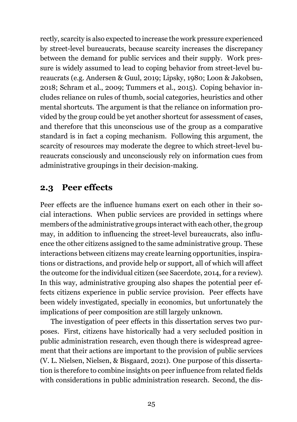rectly, scarcity is also expected to increase the work pressure experienced by street-level bureaucrats, because scarcity increases the discrepancy between the demand for public services and their supply. Work pressure is widely assumed to lead to coping behavior from street-level bureaucrats (e.g. Andersen & Guul, [2019;](#page-66-4) Lipsky, [1980;](#page-70-0) Loon & Jakobsen, [2018;](#page-70-6) Schram et al., [2009](#page-73-6); Tummers et al., [2015](#page-73-1)). Coping behavior includes reliance on rules of thumb, social categories, heuristics and other mental shortcuts. The argument is that the reliance on information provided by the group could be yet another shortcut for assessment of cases, and therefore that this unconscious use of the group as a comparative standard is in fact a coping mechanism. Following this argument, the scarcity of resources may moderate the degree to which street-level bureaucrats consciously and unconsciously rely on information cues from administrative groupings in their decision-making.

### <span id="page-24-0"></span>**2.3 Peer effects**

Peer effects are the influence humans exert on each other in their social interactions. When public services are provided in settings where members of the administrative groups interact with each other, the group may, in addition to influencing the street-level bureaucrats, also influence the other citizens assigned to the same administrative group. These interactions between citizens may create learning opportunities, inspirations or distractions, and provide help or support, all of which will affect the outcome for the individual citizen (see Sacerdote, [2014,](#page-72-3) for a review). In this way, administrative grouping also shapes the potential peer effects citizens experience in public service provision. Peer effects have been widely investigated, specially in economics, but unfortunately the implications of peer composition are still largely unknown.

The investigation of peer effects in this dissertation serves two purposes. First, citizens have historically had a very secluded position in public administration research, even though there is widespread agreement that their actions are important to the provision of public services (V. L. Nielsen, Nielsen, & Bisgaard, [2021\)](#page-71-3). One purpose of this dissertation is therefore to combine insights on peer influence from related fields with considerations in public administration research. Second, the dis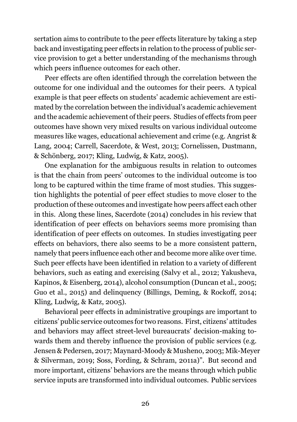sertation aims to contribute to the peer effects literature by taking a step back and investigating peer effects in relation to the process of public service provision to get a better understanding of the mechanisms through which peers influence outcomes for each other.

Peer effects are often identified through the correlation between the outcome for one individual and the outcomes for their peers. A typical example is that peer effects on students' academic achievement are estimated by the correlation between the individual's academic achievement and the academic achievement of their peers. Studies of effects from peer outcomes have shown very mixed results on various individual outcome measures like wages, educational achievement and crime (e.g. Angrist & Lang, [2004](#page-66-1); Carrell, Sacerdote, & West, [2013](#page-67-6); Cornelissen, Dustmann, & Schönberg, [2017](#page-67-7); Kling, Ludwig, & Katz, [2005](#page-70-1)).

One explanation for the ambiguous results in relation to outcomes is that the chain from peers' outcomes to the individual outcome is too long to be captured within the time frame of most studies. This suggestion highlights the potential of peer effect studies to move closer to the production of these outcomes and investigate how peers affect each other in this. Along these lines, Sacerdote [\(2014](#page-72-3)) concludes in his review that identification of peer effects on behaviors seems more promising than identification of peer effects on outcomes. In studies investigating peer effects on behaviors, there also seems to be a more consistent pattern, namely that peers influence each other and become more alike over time. Such peer effects have been identified in relation to a variety of different behaviors, such as eating and exercising (Salvy et al., [2012;](#page-72-2) Yakusheva, Kapinos, & Eisenberg, [2014\)](#page-74-6), alcohol consumption (Duncan et al., [2005;](#page-68-6) Guo et al., [2015](#page-68-7)) and delinquency (Billings, Deming, & Rockoff, [2014;](#page-66-5) Kling, Ludwig, & Katz, [2005](#page-70-1)).

Behavioral peer effects in administrative groupings are important to citizens' public service outcomes for two reasons. First, citizens' attitudes and behaviors may affect street-level bureaucrats' decision-making towards them and thereby influence the provision of public services (e.g. Jensen & Pedersen, [2017](#page-70-7); Maynard-Moody & Musheno, [2003;](#page-71-0) Mik-Meyer & Silverman, [2019;](#page-71-4) Soss, Fording, & Schram, [2011a](#page-73-3))". But second and more important, citizens' behaviors are the means through which public service inputs are transformed into individual outcomes. Public services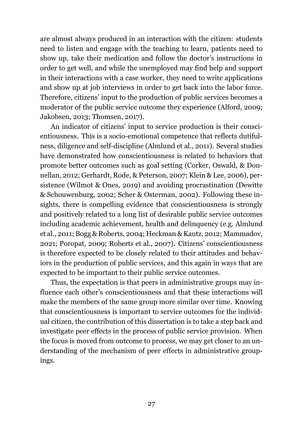are almost always produced in an interaction with the citizen: students need to listen and engage with the teaching to learn, patients need to show up, take their medication and follow the doctor's instructions in order to get well, and while the unemployed may find help and support in their interactions with a case worker, they need to write applications and show up at job interviews in order to get back into the labor force. Therefore, citizens' input to the production of public services becomes a moderator of the public service outcome they experience (Alford, [2009](#page-66-6); Jakobsen, [2013;](#page-70-8) Thomsen, [2017](#page-73-7)).

An indicator of citizens' input to service production is their conscientiousness. This is a socio-emotional competence that reflects dutifulness, diligence and self-discipline (Almlund et al., [2011](#page-66-7)). Several studies have demonstrated how conscientiousness is related to behaviors that promote better outcomes such as goal setting (Corker, Oswald, & Donnellan, [2012](#page-67-8); Gerhardt, Rode, & Peterson, [2007](#page-68-8); Klein & Lee, [2006\)](#page-70-9), persistence (Wilmot & Ones, [2019\)](#page-74-7) and avoiding procrastination (Dewitte & Schouwenburg, [2002;](#page-68-9) Scher & Osterman, [2002](#page-72-6)). Following these insights, there is compelling evidence that conscientiousness is strongly and positively related to a long list of desirable public service outcomes including academic achievement, health and delinquency (e.g. Almlund et al., [2011;](#page-66-7) Bogg & Roberts, [2004;](#page-66-8) Heckman & Kautz, [2012;](#page-69-7) Mammadov, [2021](#page-71-5); Poropat, [2009](#page-72-7); Roberts et al., [2007](#page-72-8)). Citizens' conscientiousness is therefore expected to be closely related to their attitudes and behaviors in the production of public services, and this again in ways that are expected to be important to their public service outcomes.

Thus, the expectation is that peers in administrative groups may influence each other's conscientiousness and that these interactions will make the members of the same group more similar over time. Knowing that conscientiousness is important to service outcomes for the individual citizen, the contribution of this dissertation is to take a step back and investigate peer effects in the process of public service provision. When the focus is moved from outcome to process, we may get closer to an understanding of the mechanism of peer effects in administrative groupings.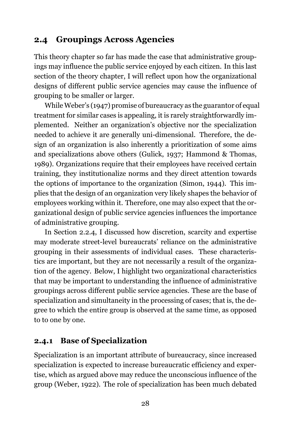### <span id="page-27-0"></span>**2.4 Groupings Across Agencies**

This theory chapter so far has made the case that administrative groupings may influence the public service enjoyed by each citizen. In this last section of the theory chapter, I will reflect upon how the organizational designs of different public service agencies may cause the influence of grouping to be smaller or larger.

While Weber's ([1947](#page-74-0)) promise of bureaucracy as the guarantor of equal treatment for similar cases is appealing, it is rarely straightforwardly implemented. Neither an organization's objective nor the specialization needed to achieve it are generally uni-dimensional. Therefore, the design of an organization is also inherently a prioritization of some aims and specializations above others (Gulick, [1937;](#page-68-0) Hammond & Thomas, [1989\)](#page-69-8). Organizations require that their employees have received certain training, they institutionalize norms and they direct attention towards the options of importance to the organization (Simon, [1944\)](#page-73-8). This implies that the design of an organization very likely shapes the behavior of employees working within it. Therefore, one may also expect that the organizational design of public service agencies influences the importance of administrative grouping.

In Section [2.2.4](#page-22-0), I discussed how discretion, scarcity and expertise may moderate street-level bureaucrats' reliance on the administrative grouping in their assessments of individual cases. These characteristics are important, but they are not necessarily a result of the organization of the agency. Below, I highlight two organizational characteristics that may be important to understanding the influence of administrative groupings across different public service agencies. These are the base of specialization and simultaneity in the processing of cases; that is, the degree to which the entire group is observed at the same time, as opposed to to one by one.

### **2.4.1 Base of Specialization**

Specialization is an important attribute of bureaucracy, since increased specialization is expected to increase bureaucratic efficiency and expertise, which as argued above may reduce the unconscious influence of the group (Weber, [1922\)](#page-74-5). The role of specialization has been much debated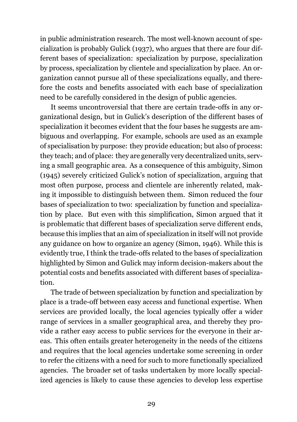in public administration research. The most well-known account of specialization is probably Gulick ([1937](#page-68-0)), who argues that there are four different bases of specialization: specialization by purpose, specialization by process, specialization by clientele and specialization by place. An organization cannot pursue all of these specializations equally, and therefore the costs and benefits associated with each base of specialization need to be carefully considered in the design of public agencies.

It seems uncontroversial that there are certain trade-offs in any organizational design, but in Gulick's description of the different bases of specialization it becomes evident that the four bases he suggests are ambiguous and overlapping. For example, schools are used as an example of specialisation by purpose: they provide education; but also of process: they teach; and of place: they are generally very decentralized units, serving a small geographic area. As a consequence of this ambiguity, Simon [\(1945](#page-73-0)) severely criticized Gulick's notion of specialization, arguing that most often purpose, process and clientele are inherently related, making it impossible to distinguish between them. Simon reduced the four bases of specialization to two: specialization by function and specialization by place. But even with this simplification, Simon argued that it is problematic that different bases of specialization serve different ends, because this implies that an aim of specialization in itself will not provide any guidance on how to organize an agency (Simon, [1946](#page-73-9)). While this is evidently true, I think the trade-offs related to the bases of specialization highlighted by Simon and Gulick may inform decision-makers about the potential costs and benefits associated with different bases of specialization.

The trade of between specialization by function and specialization by place is a trade-off between easy access and functional expertise. When services are provided locally, the local agencies typically offer a wider range of services in a smaller geographical area, and thereby they provide a rather easy access to public services for the everyone in their areas. This often entails greater heterogeneity in the needs of the citizens and requires that the local agencies undertake some screening in order to refer the citizens with a need for such to more functionally specialized agencies. The broader set of tasks undertaken by more locally specialized agencies is likely to cause these agencies to develop less expertise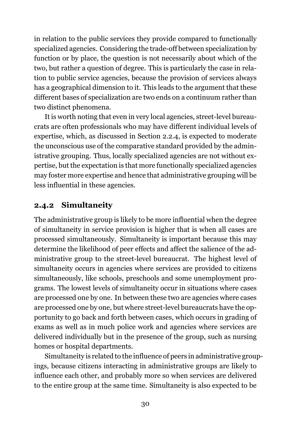in relation to the public services they provide compared to functionally specialized agencies. Considering the trade-off between specialization by function or by place, the question is not necessarily about which of the two, but rather a question of degree. This is particularly the case in relation to public service agencies, because the provision of services always has a geographical dimension to it. This leads to the argument that these different bases of specialization are two ends on a continuum rather than two distinct phenomena.

It is worth noting that even in very local agencies, street-level bureaucrats are often professionals who may have different individual levels of expertise, which, as discussed in Section [2.2.4,](#page-22-0) is expected to moderate the unconscious use of the comparative standard provided by the administrative grouping. Thus, locally specialized agencies are not without expertise, but the expectation is that more functionally specialized agencies may foster more expertise and hence that administrative grouping will be less influential in these agencies.

#### **2.4.2 Simultaneity**

The administrative group is likely to be more influential when the degree of simultaneity in service provision is higher that is when all cases are processed simultaneously. Simultaneity is important because this may determine the likelihood of peer effects and affect the salience of the administrative group to the street-level bureaucrat. The highest level of simultaneity occurs in agencies where services are provided to citizens simultaneously, like schools, preschools and some unemployment programs. The lowest levels of simultaneity occur in situations where cases are processed one by one. In between these two are agencies where cases are processed one by one, but where street-level bureaucrats have the opportunity to go back and forth between cases, which occurs in grading of exams as well as in much police work and agencies where services are delivered individually but in the presence of the group, such as nursing homes or hospital departments.

Simultaneity is related to the influence of peers in administrative groupings, because citizens interacting in administrative groups are likely to influence each other, and probably more so when services are delivered to the entire group at the same time. Simultaneity is also expected to be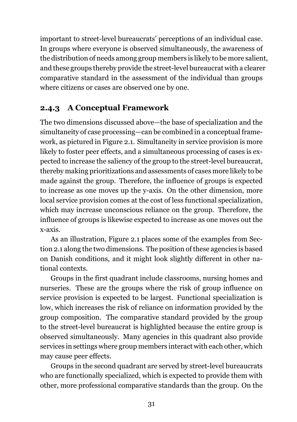important to street-level bureaucrats' perceptions of an individual case. In groups where everyone is observed simultaneously, the awareness of the distribution of needs among group members is likely to be more salient, and these groups thereby provide the street-level bureaucrat with a clearer comparative standard in the assessment of the individual than groups where citizens or cases are observed one by one.

### **2.4.3 A Conceptual Framework**

The two dimensions discussed above—the base of specialization and the simultaneity of case processing—can be combined in a conceptual framework, as pictured in Figure [2.1](#page-31-0). Simultaneity in service provision is more likely to foster peer effects, and a simultaneous processing of cases is expected to increase the saliency of the group to the street-level bureaucrat, thereby making prioritizations and assessments of cases more likely to be made against the group. Therefore, the influence of groups is expected to increase as one moves up the y-axis. On the other dimension, more local service provision comes at the cost of less functional specialization, which may increase unconscious reliance on the group. Therefore, the influence of groups is likewise expected to increase as one moves out the x-axis.

As an illustration, Figure [2.1](#page-31-0) places some of the examples from Section [2.1](#page-14-1) along the two dimensions. The position of these agencies is based on Danish conditions, and it might look slightly different in other national contexts.

Groups in the first quadrant include classrooms, nursing homes and nurseries. These are the groups where the risk of group influence on service provision is expected to be largest. Functional specialization is low, which increases the risk of reliance on information provided by the group composition. The comparative standard provided by the group to the street-level bureaucrat is highlighted because the entire group is observed simultaneously. Many agencies in this quadrant also provide services in settings where group members interact with each other, which may cause peer effects.

Groups in the second quadrant are served by street-level bureaucrats who are functionally specialized, which is expected to provide them with other, more professional comparative standards than the group. On the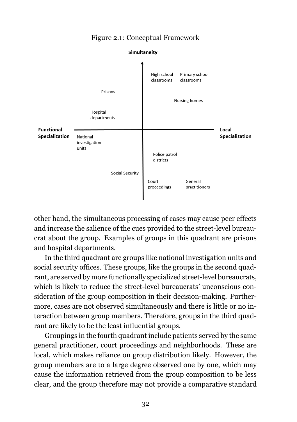<span id="page-31-0"></span>

#### Figure 2.1: Conceptual Framework

other hand, the simultaneous processing of cases may cause peer effects and increase the salience of the cues provided to the street-level bureaucrat about the group. Examples of groups in this quadrant are prisons and hospital departments.

In the third quadrant are groups like national investigation units and social security offices. These groups, like the groups in the second quadrant, are served by more functionally specialized street-level bureaucrats, which is likely to reduce the street-level bureaucrats' unconscious consideration of the group composition in their decision-making. Furthermore, cases are not observed simultaneously and there is little or no interaction between group members. Therefore, groups in the third quadrant are likely to be the least influential groups.

Groupings in the fourth quadrant include patients served by the same general practitioner, court proceedings and neighborhoods. These are local, which makes reliance on group distribution likely. However, the group members are to a large degree observed one by one, which may cause the information retrieved from the group composition to be less clear, and the group therefore may not provide a comparative standard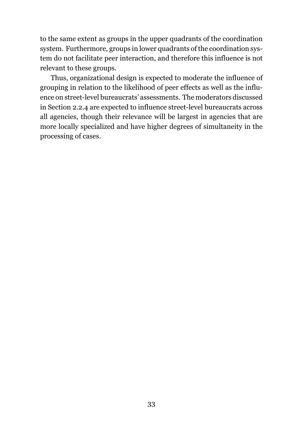to the same extent as groups in the upper quadrants of the coordination system. Furthermore, groups in lower quadrants of the coordination system do not facilitate peer interaction, and therefore this influence is not relevant to these groups.

Thus, organizational design is expected to moderate the influence of grouping in relation to the likelihood of peer effects as well as the influence on street-level bureaucrats' assessments. The moderators discussed in Section [2.2.4](#page-22-0) are expected to influence street-level bureaucrats across all agencies, though their relevance will be largest in agencies that are more locally specialized and have higher degrees of simultaneity in the processing of cases.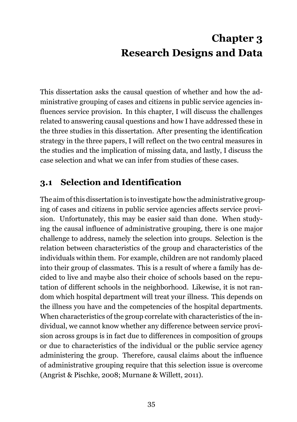## **Chapter 3 Research Designs and Data**

<span id="page-34-0"></span>This dissertation asks the causal question of whether and how the administrative grouping of cases and citizens in public service agencies influences service provision. In this chapter, I will discuss the challenges related to answering causal questions and how I have addressed these in the three studies in this dissertation. After presenting the identification strategy in the three papers, I will reflect on the two central measures in the studies and the implication of missing data, and lastly, I discuss the case selection and what we can infer from studies of these cases.

## <span id="page-34-1"></span>**3.1 Selection and Identification**

The aim of this dissertation is to investigate how the administrative grouping of cases and citizens in public service agencies affects service provision. Unfortunately, this may be easier said than done. When studying the causal influence of administrative grouping, there is one major challenge to address, namely the selection into groups. Selection is the relation between characteristics of the group and characteristics of the individuals within them. For example, children are not randomly placed into their group of classmates. This is a result of where a family has decided to live and maybe also their choice of schools based on the reputation of different schools in the neighborhood. Likewise, it is not random which hospital department will treat your illness. This depends on the illness you have and the competencies of the hospital departments. When characteristics of the group correlate with characteristics of the individual, we cannot know whether any difference between service provision across groups is in fact due to differences in composition of groups or due to characteristics of the individual or the public service agency administering the group. Therefore, causal claims about the influence of administrative grouping require that this selection issue is overcome (Angrist & Pischke, [2008](#page-66-9); Murnane & Willett, [2011\)](#page-71-6).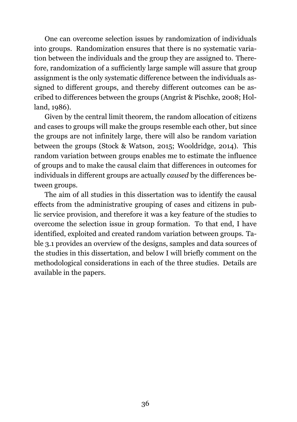One can overcome selection issues by randomization of individuals into groups. Randomization ensures that there is no systematic variation between the individuals and the group they are assigned to. Therefore, randomization of a sufficiently large sample will assure that group assignment is the only systematic difference between the individuals assigned to different groups, and thereby different outcomes can be ascribed to differences between the groups (Angrist & Pischke, [2008](#page-66-9); Holland, [1986](#page-69-9)).

Given by the central limit theorem, the random allocation of citizens and cases to groups will make the groups resemble each other, but since the groups are not infinitely large, there will also be random variation between the groups (Stock & Watson, [2015;](#page-73-10) Wooldridge, [2014\)](#page-74-8). This random variation between groups enables me to estimate the influence of groups and to make the causal claim that differences in outcomes for individuals in different groups are actually *caused* by the differences between groups.

The aim of all studies in this dissertation was to identify the causal effects from the administrative grouping of cases and citizens in public service provision, and therefore it was a key feature of the studies to overcome the selection issue in group formation. To that end, I have identified, exploited and created random variation between groups. Table [3.1](#page-36-0) provides an overview of the designs, samples and data sources of the studies in this dissertation, and below I will briefly comment on the methodological considerations in each of the three studies. Details are available in the papers.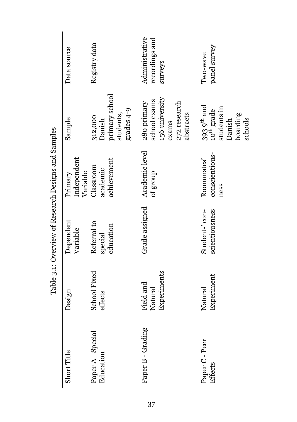| Data source                        | Registry data                                                  | Administrative<br>recordings and<br>surveys                                         | panel survey<br>Iwo-wave                                                                        |
|------------------------------------|----------------------------------------------------------------|-------------------------------------------------------------------------------------|-------------------------------------------------------------------------------------------------|
| Sample                             | primary school<br>grades 4-9<br>students,<br>312,000<br>Danish | 156 university<br>school exams<br>280 primary<br>272 research<br>abstracts<br>exams | $393\,9^{\rm th}$ and $10^{\rm th}\,{\rm grad}$<br>students in<br>boarding<br>schools<br>Danish |
| Independent<br>Variable<br>Primary | achievement<br>Classroom<br>academic                           | Academic level<br>of group                                                          | conscientious-<br>Roommates'<br>ness                                                            |
| Dependent<br>Variable              | Referral to<br>education<br>special                            | Grade assigned                                                                      | scientiousness<br>Students' con-                                                                |
| Design                             | School Fixed<br>effects                                        | Experiments<br>Field and<br>Natural                                                 | Experiment<br>Natural                                                                           |
| Short Title                        | Paper A - Special<br>Education                                 | Paper B - Grading                                                                   | Paper C - Peer<br>Effects                                                                       |

Table 3.1: Overview of Research Designs and Samples Table 3.1: Overview of Research Designs and Samples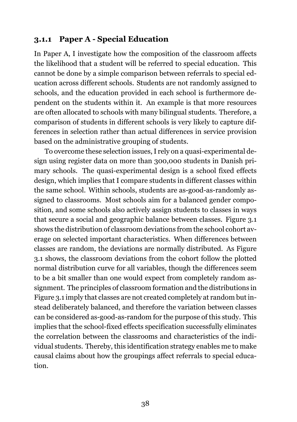### **3.1.1 Paper A - Special Education**

In Paper A, I investigate how the composition of the classroom affects the likelihood that a student will be referred to special education. This cannot be done by a simple comparison between referrals to special education across different schools. Students are not randomly assigned to schools, and the education provided in each school is furthermore dependent on the students within it. An example is that more resources are often allocated to schools with many bilingual students. Therefore, a comparison of students in different schools is very likely to capture differences in selection rather than actual differences in service provision based on the administrative grouping of students.

To overcome these selection issues, I rely on a quasi-experimental design using register data on more than 300,000 students in Danish primary schools. The quasi-experimental design is a school fixed effects design, which implies that I compare students in different classes within the same school. Within schools, students are as-good-as-randomly assigned to classrooms. Most schools aim for a balanced gender composition, and some schools also actively assign students to classes in ways that secure a social and geographic balance between classes. Figure [3.1](#page-38-0) shows the distribution of classroom deviations from the school cohort average on selected important characteristics. When differences between classes are random, the deviations are normally distributed. As Figure [3.1](#page-38-0) shows, the classroom deviations from the cohort follow the plotted normal distribution curve for all variables, though the differences seem to be a bit smaller than one would expect from completely random assignment. The principles of classroom formation and the distributions in Figure [3.1](#page-38-0) imply that classes are not created completely at random but instead deliberately balanced, and therefore the variation between classes can be considered as-good-as-random for the purpose of this study. This implies that the school-fixed effects specification successfully eliminates the correlation between the classrooms and characteristics of the individual students. Thereby, this identification strategy enables me to make causal claims about how the groupings affect referrals to special education.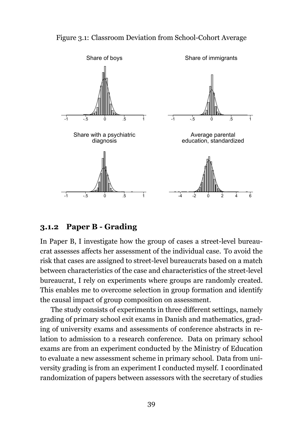<span id="page-38-0"></span>



#### **3.1.2 Paper B - Grading**

In Paper B, I investigate how the group of cases a street-level bureaucrat assesses affects her assessment of the individual case. To avoid the risk that cases are assigned to street-level bureaucrats based on a match between characteristics of the case and characteristics of the street-level bureaucrat, I rely on experiments where groups are randomly created. This enables me to overcome selection in group formation and identify the causal impact of group composition on assessment.

The study consists of experiments in three different settings, namely grading of primary school exit exams in Danish and mathematics, grading of university exams and assessments of conference abstracts in relation to admission to a research conference. Data on primary school exams are from an experiment conducted by the Ministry of Education to evaluate a new assessment scheme in primary school. Data from university grading is from an experiment I conducted myself. I coordinated randomization of papers between assessors with the secretary of studies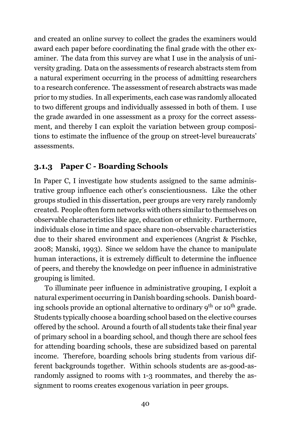and created an online survey to collect the grades the examiners would award each paper before coordinating the final grade with the other examiner. The data from this survey are what I use in the analysis of university grading. Data on the assessments of research abstracts stem from a natural experiment occurring in the process of admitting researchers to a research conference. The assessment of research abstracts was made prior to my studies. In all experiments, each case was randomly allocated to two different groups and individually assessed in both of them. I use the grade awarded in one assessment as a proxy for the correct assessment, and thereby I can exploit the variation between group compositions to estimate the influence of the group on street-level bureaucrats' assessments.

### **3.1.3 Paper C - Boarding Schools**

In Paper C, I investigate how students assigned to the same administrative group influence each other's conscientiousness. Like the other groups studied in this dissertation, peer groups are very rarely randomly created. People often form networks with others similar to themselves on observable characteristics like age, education or ethnicity. Furthermore, individuals close in time and space share non-observable characteristics due to their shared environment and experiences (Angrist & Pischke, [2008;](#page-66-0) Manski, [1993](#page-71-0)). Since we seldom have the chance to manipulate human interactions, it is extremely difficult to determine the influence of peers, and thereby the knowledge on peer influence in administrative grouping is limited.

To illuminate peer influence in administrative grouping, I exploit a natural experiment occurring in Danish boarding schools. Danish boarding schools provide an optional alternative to ordinary  $9<sup>th</sup>$  or  $10<sup>th</sup>$  grade. Students typically choose a boarding school based on the elective courses offered by the school. Around a fourth of all students take their final year of primary school in a boarding school, and though there are school fees for attending boarding schools, these are subsidized based on parental income. Therefore, boarding schools bring students from various different backgrounds together. Within schools students are as-good-asrandomly assigned to rooms with 1-3 roommates, and thereby the assignment to rooms creates exogenous variation in peer groups.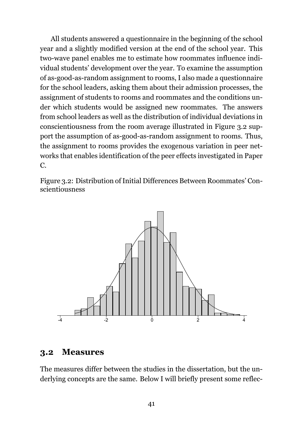All students answered a questionnaire in the beginning of the school year and a slightly modified version at the end of the school year. This two-wave panel enables me to estimate how roommates influence individual students' development over the year. To examine the assumption of as-good-as-random assignment to rooms, I also made a questionnaire for the school leaders, asking them about their admission processes, the assignment of students to rooms and roommates and the conditions under which students would be assigned new roommates. The answers from school leaders as well as the distribution of individual deviations in conscientiousness from the room average illustrated in Figure [3.2](#page-40-0) support the assumption of as-good-as-random assignment to rooms. Thus, the assignment to rooms provides the exogenous variation in peer networks that enables identification of the peer effects investigated in Paper  $C_{\cdot}$ 

<span id="page-40-0"></span>Figure 3.2: Distribution of Initial Differences Between Roommates' Conscientiousness



#### **3.2 Measures**

The measures differ between the studies in the dissertation, but the underlying concepts are the same. Below I will briefly present some reflec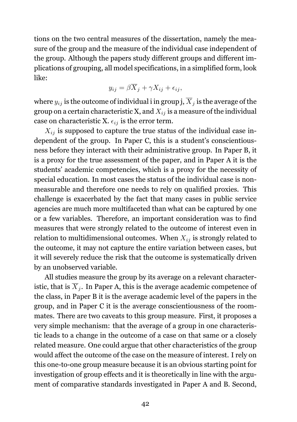tions on the two central measures of the dissertation, namely the measure of the group and the measure of the individual case independent of the group. Although the papers study different groups and different implications of grouping, all model specifications, in a simplified form, look like:

$$
y_{ij} = \beta \overline{X}_j + \gamma X_{ij} + \epsilon_{ij},
$$

where  $y_{ij}$  is the outcome of individual i in group j,  $\overline{X}_j$  is the average of the group on a certain characteristic X, and  $X_{ij}$  is a measure of the individual case on characteristic X.  $\epsilon_{ij}$  is the error term.

 $X_{ij}$  is supposed to capture the true status of the individual case independent of the group. In Paper C, this is a student's conscientiousness before they interact with their administrative group. In Paper B, it is a proxy for the true assessment of the paper, and in Paper A it is the students' academic competencies, which is a proxy for the necessity of special education. In most cases the status of the individual case is nonmeasurable and therefore one needs to rely on qualified proxies. This challenge is exacerbated by the fact that many cases in public service agencies are much more multifaceted than what can be captured by one or a few variables. Therefore, an important consideration was to find measures that were strongly related to the outcome of interest even in relation to multidimensional outcomes. When  $X_{ij}$  is strongly related to the outcome, it may not capture the entire variation between cases, but it will severely reduce the risk that the outcome is systematically driven by an unobserved variable.

All studies measure the group by its average on a relevant characteristic, that is  $\overline{X}_i$ . In Paper A, this is the average academic competence of the class, in Paper B it is the average academic level of the papers in the group, and in Paper C it is the average conscientiousness of the roommates. There are two caveats to this group measure. First, it proposes a very simple mechanism: that the average of a group in one characteristic leads to a change in the outcome of a case on that same or a closely related measure. One could argue that other characteristics of the group would affect the outcome of the case on the measure of interest. I rely on this one-to-one group measure because it is an obvious starting point for investigation of group effects and it is theoretically in line with the argument of comparative standards investigated in Paper A and B. Second,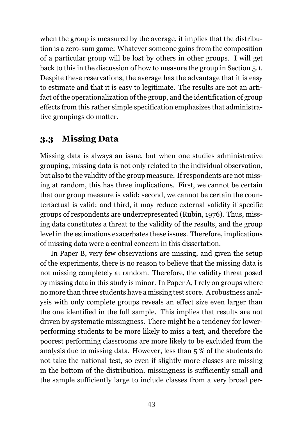when the group is measured by the average, it implies that the distribution is a zero-sum game: Whatever someone gains from the composition of a particular group will be lost by others in other groups. I will get back to this in the discussion of how to measure the group in Section [5.1.](#page-56-0) Despite these reservations, the average has the advantage that it is easy to estimate and that it is easy to legitimate. The results are not an artifact of the operationalization of the group, and the identification of group effects from this rather simple specification emphasizes that administrative groupings do matter.

### **3.3 Missing Data**

Missing data is always an issue, but when one studies administrative grouping, missing data is not only related to the individual observation, but also to the validity of the group measure. If respondents are not missing at random, this has three implications. First, we cannot be certain that our group measure is valid; second, we cannot be certain the counterfactual is valid; and third, it may reduce external validity if specific groups of respondents are underrepresented (Rubin, [1976\)](#page-72-0). Thus, missing data constitutes a threat to the validity of the results, and the group level in the estimations exacerbates these issues. Therefore, implications of missing data were a central concern in this dissertation.

In Paper B, very few observations are missing, and given the setup of the experiments, there is no reason to believe that the missing data is not missing completely at random. Therefore, the validity threat posed by missing data in this study is minor. In Paper A, I rely on groups where no more than three students have a missing test score. A robustness analysis with only complete groups reveals an effect size even larger than the one identified in the full sample. This implies that results are not driven by systematic missingness. There might be a tendency for lowerperforming students to be more likely to miss a test, and therefore the poorest performing classrooms are more likely to be excluded from the analysis due to missing data. However, less than 5 % of the students do not take the national test, so even if slightly more classes are missing in the bottom of the distribution, missingness is sufficiently small and the sample sufficiently large to include classes from a very broad per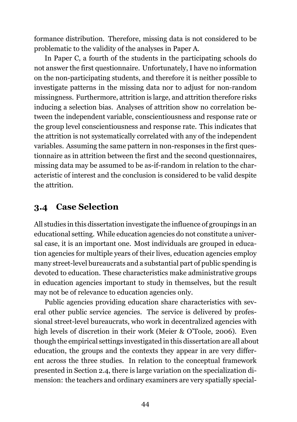formance distribution. Therefore, missing data is not considered to be problematic to the validity of the analyses in Paper A.

In Paper C, a fourth of the students in the participating schools do not answer the first questionnaire. Unfortunately, I have no information on the non-participating students, and therefore it is neither possible to investigate patterns in the missing data nor to adjust for non-random missingness. Furthermore, attrition is large, and attrition therefore risks inducing a selection bias. Analyses of attrition show no correlation between the independent variable, conscientiousness and response rate or the group level conscientiousness and response rate. This indicates that the attrition is not systematically correlated with any of the independent variables. Assuming the same pattern in non-responses in the first questionnaire as in attrition between the first and the second questionnaires, missing data may be assumed to be as-if-random in relation to the characteristic of interest and the conclusion is considered to be valid despite the attrition.

### <span id="page-43-0"></span>**3.4 Case Selection**

All studies in this dissertation investigate the influence of groupings in an educational setting. While education agencies do not constitute a universal case, it is an important one. Most individuals are grouped in education agencies for multiple years of their lives, education agencies employ many street-level bureaucrats and a substantial part of public spending is devoted to education. These characteristics make administrative groups in education agencies important to study in themselves, but the result may not be of relevance to education agencies only.

Public agencies providing education share characteristics with several other public service agencies. The service is delivered by professional street-level bureaucrats, who work in decentralized agencies with high levels of discretion in their work (Meier & O'Toole, [2006](#page-71-1)). Even though the empirical settings investigated in this dissertation are all about education, the groups and the contexts they appear in are very different across the three studies. In relation to the conceptual framework presented in Section [2.4](#page-27-0), there is large variation on the specialization dimension: the teachers and ordinary examiners are very spatially special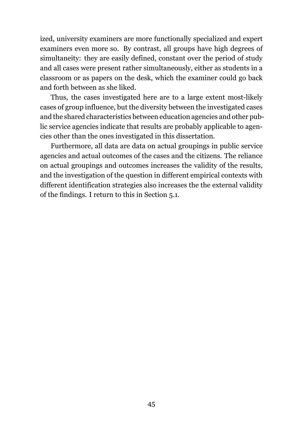ized, university examiners are more functionally specialized and expert examiners even more so. By contrast, all groups have high degrees of simultaneity: they are easily defined, constant over the period of study and all cases were present rather simultaneously, either as students in a classroom or as papers on the desk, which the examiner could go back and forth between as she liked.

Thus, the cases investigated here are to a large extent most-likely cases of group influence, but the diversity between the investigated cases and the shared characteristics between education agencies and other public service agencies indicate that results are probably applicable to agencies other than the ones investigated in this dissertation.

Furthermore, all data are data on actual groupings in public service agencies and actual outcomes of the cases and the citizens. The reliance on actual groupings and outcomes increases the validity of the results, and the investigation of the question in different empirical contexts with different identification strategies also increases the the external validity of the findings. I return to this in Section [5.1](#page-56-0).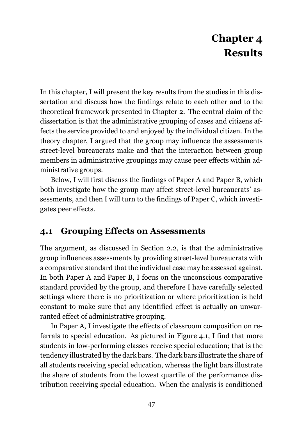## **Chapter 4 Results**

In this chapter, I will present the key results from the studies in this dissertation and discuss how the findings relate to each other and to the theoretical framework presented in Chapter [2.](#page-14-0) The central claim of the dissertation is that the administrative grouping of cases and citizens affects the service provided to and enjoyed by the individual citizen. In the theory chapter, I argued that the group may influence the assessments street-level bureaucrats make and that the interaction between group members in administrative groupings may cause peer effects within administrative groups.

Below, I will first discuss the findings of Paper A and Paper B, which both investigate how the group may affect street-level bureaucrats' assessments, and then I will turn to the findings of Paper C, which investigates peer effects.

## <span id="page-46-0"></span>**4.1 Grouping Effects on Assessments**

The argument, as discussed in Section [2.2,](#page-16-0) is that the administrative group influences assessments by providing street-level bureaucrats with a comparative standard that the individual case may be assessed against. In both Paper A and Paper B, I focus on the unconscious comparative standard provided by the group, and therefore I have carefully selected settings where there is no prioritization or where prioritization is held constant to make sure that any identified effect is actually an unwarranted effect of administrative grouping.

In Paper A, I investigate the effects of classroom composition on referrals to special education. As pictured in Figure [4.1](#page-47-0), I find that more students in low-performing classes receive special education; that is the tendency illustrated by the dark bars. The dark bars illustrate the share of all students receiving special education, whereas the light bars illustrate the share of students from the lowest quartile of the performance distribution receiving special education. When the analysis is conditioned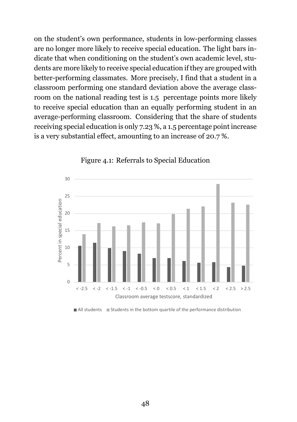on the student's own performance, students in low-performing classes are no longer more likely to receive special education. The light bars indicate that when conditioning on the student's own academic level, students are more likely to receive special education if they are grouped with better-performing classmates. More precisely, I find that a student in a classroom performing one standard deviation above the average classroom on the national reading test is 1.5 percentage points more likely to receive special education than an equally performing student in an average-performing classroom. Considering that the share of students receiving special education is only 7.23 %, a 1.5 percentage point increase is a very substantial effect, amounting to an increase of 20.7 %.

<span id="page-47-0"></span>

Figure 4.1: Referrals to Special Education

 $\blacksquare$  All students  $\blacksquare$  Students in the bottom quartile of the performance distribution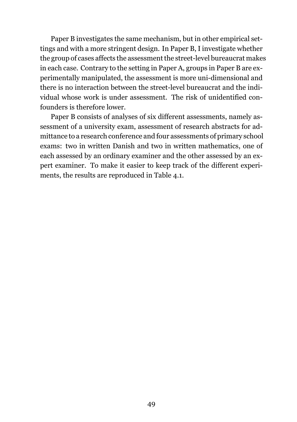Paper B investigates the same mechanism, but in other empirical settings and with a more stringent design. In Paper B, I investigate whether the group of cases affects the assessment the street-level bureaucrat makes in each case. Contrary to the setting in Paper A, groups in Paper B are experimentally manipulated, the assessment is more uni-dimensional and there is no interaction between the street-level bureaucrat and the individual whose work is under assessment. The risk of unidentified confounders is therefore lower.

Paper B consists of analyses of six different assessments, namely assessment of a university exam, assessment of research abstracts for admittance to a research conference and four assessments of primary school exams: two in written Danish and two in written mathematics, one of each assessed by an ordinary examiner and the other assessed by an expert examiner. To make it easier to keep track of the different experiments, the results are reproduced in Table [4.1](#page-49-0).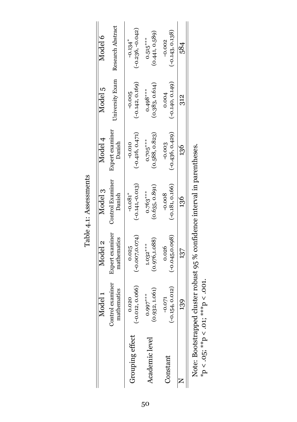|                 | Model 1                         | Model 2                        | Model 3                                                                                              | Model 4                       | Model 5                       | Model 6                                     |
|-----------------|---------------------------------|--------------------------------|------------------------------------------------------------------------------------------------------|-------------------------------|-------------------------------|---------------------------------------------|
|                 | Control examiner<br>mathematics | Expert examiner<br>mathematics | Control Examiner<br>Danish                                                                           | Expert examiner<br>Danish     |                               | University Exam Research Abstract           |
| Grouping effect | $( -0.012, 0.066)$<br>0.020     | $(-0.007, 0.074)$<br>0.025     | $(-0.141,-0.013)$<br>$-0.081$ <sup>*</sup>                                                           | $(-0.416, 0.471)$<br>$-0.010$ | $(-0.142, 0.169)$<br>$-0.005$ | $(-0.236, -0.042)$<br>$-0.134$ <sup>*</sup> |
| Academic level  | (0.932, 1.061)<br>$0.997***$    | (0.976, 1.088)<br>$1.032***$   | (0.635, 0.891)<br>$0.763***$                                                                         | (0.588, 0.823)<br>$0.705***$  | (0.383, 0.614)<br>$0.498***$  | (0.441, 0.589)<br>$0.515***$                |
| Constant        | $(-0.154, 0.012)$<br>$-0.071$   | $(-0.045, 0.098)$<br>0.026     | $(-0.181, 0.166)$<br>$-0.008$                                                                        | $(-0.436, 0.429)$<br>$-0.003$ | $(-0.140, 0.149)$<br>0.004    | $(-0.143, 0.138)$<br>$-0.002$               |
|                 | $^{13}$                         | 137                            | 136                                                                                                  | 126                           | $\frac{2}{3}$                 | 584                                         |
|                 |                                 |                                | n 14-14 . De 14-14-14 . De 14-14 . De 14-14 . De 15-14 . De 15-15-16 . De 14-14 . De 14-14 . De 14-1 |                               |                               |                                             |

<span id="page-49-0"></span>Table 4.1: Assessments Table 4.1: Assessments Note: Bootstrapped cluster robust 95 % confidence interval in parentheses.<br>\*p < .05; \*\*p < .01; \*\*\*p < .001. Note: Bootstrapped cluster robust 95 % confidence interval in parentheses.  $*p < .05; **p < .01; ***p < .001$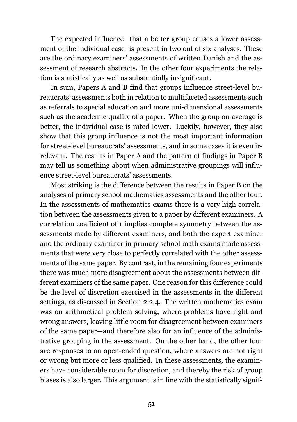The expected influence—that a better group causes a lower assessment of the individual case–is present in two out of six analyses. These are the ordinary examiners' assessments of written Danish and the assessment of research abstracts. In the other four experiments the relation is statistically as well as substantially insignificant.

In sum, Papers A and B find that groups influence street-level bureaucrats' assessments both in relation to multifaceted assessments such as referrals to special education and more uni-dimensional assessments such as the academic quality of a paper. When the group on average is better, the individual case is rated lower. Luckily, however, they also show that this group influence is not the most important information for street-level bureaucrats' assessments, and in some cases it is even irrelevant. The results in Paper A and the pattern of findings in Paper B may tell us something about when administrative groupings will influence street-level bureaucrats' assessments.

Most striking is the difference between the results in Paper B on the analyses of primary school mathematics assessments and the other four. In the assessments of mathematics exams there is a very high correlation between the assessments given to a paper by different examiners. A correlation coefficient of 1 implies complete symmetry between the assessments made by different examiners, and both the expert examiner and the ordinary examiner in primary school math exams made assessments that were very close to perfectly correlated with the other assessments of the same paper. By contrast, in the remaining four experiments there was much more disagreement about the assessments between different examiners of the same paper. One reason for this difference could be the level of discretion exercised in the assessments in the different settings, as discussed in Section [2.2.4.](#page-22-0) The written mathematics exam was on arithmetical problem solving, where problems have right and wrong answers, leaving little room for disagreement between examiners of the same paper—and therefore also for an influence of the administrative grouping in the assessment. On the other hand, the other four are responses to an open-ended question, where answers are not right or wrong but more or less qualified. In these assessments, the examiners have considerable room for discretion, and thereby the risk of group biases is also larger. This argument is in line with the statistically signif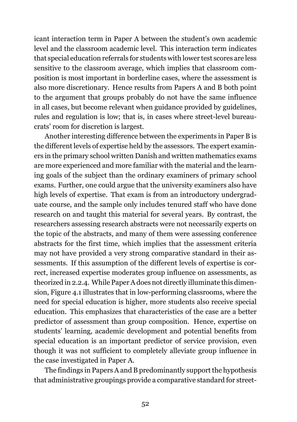icant interaction term in Paper A between the student's own academic level and the classroom academic level. This interaction term indicates that special education referrals for students with lower test scores are less sensitive to the classroom average, which implies that classroom composition is most important in borderline cases, where the assessment is also more discretionary. Hence results from Papers A and B both point to the argument that groups probably do not have the same influence in all cases, but become relevant when guidance provided by guidelines, rules and regulation is low; that is, in cases where street-level bureaucrats' room for discretion is largest.

Another interesting difference between the experiments in Paper B is the different levels of expertise held by the assessors. The expert examiners in the primary school written Danish and written mathematics exams are more experienced and more familiar with the material and the learning goals of the subject than the ordinary examiners of primary school exams. Further, one could argue that the university examiners also have high levels of expertise. That exam is from an introductory undergraduate course, and the sample only includes tenured staff who have done research on and taught this material for several years. By contrast, the researchers assessing research abstracts were not necessarily experts on the topic of the abstracts, and many of them were assessing conference abstracts for the first time, which implies that the assessment criteria may not have provided a very strong comparative standard in their assessments. If this assumption of the different levels of expertise is correct, increased expertise moderates group influence on assessments, as theorized in [2.2.4.](#page-22-0) While Paper A does not directly illuminate this dimension, Figure [4.1](#page-47-0) illustrates that in low-performing classrooms, where the need for special education is higher, more students also receive special education. This emphasizes that characteristics of the case are a better predictor of assessment than group composition. Hence, expertise on students' learning, academic development and potential benefits from special education is an important predictor of service provision, even though it was not sufficient to completely alleviate group influence in the case investigated in Paper A.

The findings in Papers A and B predominantly support the hypothesis that administrative groupings provide a comparative standard for street-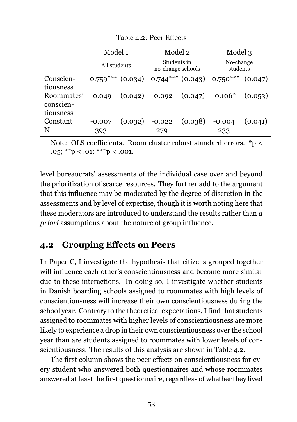<span id="page-52-0"></span>

|                                                   | Model 1<br>All students |         | Model 2<br>Students in<br>no-change schools    |         | Model 3                         |         |
|---------------------------------------------------|-------------------------|---------|------------------------------------------------|---------|---------------------------------|---------|
|                                                   |                         |         |                                                |         | No-change<br>students           |         |
| Conscien-                                         | $0.759***$              | (0.034) |                                                |         | $0.744***$ $(0.043)$ $0.750***$ | (0.047) |
| tiousness<br>Roommates'<br>conscien-<br>tiousness | $-0.049$                |         | $(0.042)$ -0.092 $(0.047)$ -0.106 <sup>*</sup> |         |                                 | (0.053) |
| Constant                                          | $-0.007$                | (0.032) | $-0.022$                                       | (0.038) | $-0.004$                        | (0.041) |
| N                                                 | 393                     |         | 279                                            |         | 233                             |         |

Table 4.2: Peer Effects

Note: OLS coefficients. Room cluster robust standard errors. \*p <  $.05$ ; \*\*p <  $.01$ ; \*\*\*p <  $.001$ .

level bureaucrats' assessments of the individual case over and beyond the prioritization of scarce resources. They further add to the argument that this influence may be moderated by the degree of discretion in the assessments and by level of expertise, though it is worth noting here that these moderators are introduced to understand the results rather than *a priori* assumptions about the nature of group influence.

## **4.2 Grouping Effects on Peers**

In Paper C, I investigate the hypothesis that citizens grouped together will influence each other's conscientiousness and become more similar due to these interactions. In doing so, I investigate whether students in Danish boarding schools assigned to roommates with high levels of conscientiousness will increase their own conscientiousness during the school year. Contrary to the theoretical expectations, I find that students assigned to roommates with higher levels of conscientiousness are more likely to experience a drop in their own conscientiousness over the school year than are students assigned to roommates with lower levels of conscientiousness. The results of this analysis are shown in Table [4.2](#page-52-0).

The first column shows the peer effects on conscientiousness for every student who answered both questionnaires and whose roommates answered at least the first questionnaire, regardless of whether they lived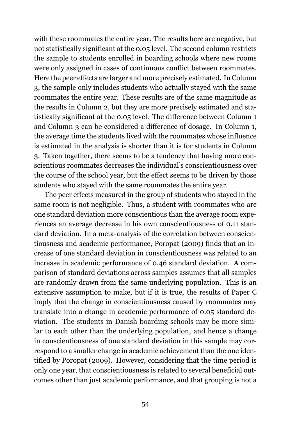with these roommates the entire year. The results here are negative, but not statistically significant at the 0.05 level. The second column restricts the sample to students enrolled in boarding schools where new rooms were only assigned in cases of continuous conflict between roommates. Here the peer effects are larger and more precisely estimated. In Column 3, the sample only includes students who actually stayed with the same roommates the entire year. These results are of the same magnitude as the results in Column 2, but they are more precisely estimated and statistically significant at the 0.05 level. The difference between Column 1 and Column 3 can be considered a difference of dosage. In Column 1, the average time the students lived with the roommates whose influence is estimated in the analysis is shorter than it is for students in Column 3. Taken together, there seems to be a tendency that having more conscientious roommates decreases the individual's conscientiousness over the course of the school year, but the effect seems to be driven by those students who stayed with the same roommates the entire year.

The peer effects measured in the group of students who stayed in the same room is not negligible. Thus, a student with roommates who are one standard deviation more conscientious than the average room experiences an average decrease in his own conscientiousness of 0.11 standard deviation. In a meta-analysis of the correlation between conscientiousness and academic performance, Poropat [\(2009\)](#page-72-1) finds that an increase of one standard deviation in conscientiousness was related to an increase in academic performance of 0.46 standard deviation. A comparison of standard deviations across samples assumes that all samples are randomly drawn from the same underlying population. This is an extensive assumption to make, but if it is true, the results of Paper C imply that the change in conscientiousness caused by roommates may translate into a change in academic performance of 0.05 standard deviation. The students in Danish boarding schools may be more similar to each other than the underlying population, and hence a change in conscientiousness of one standard deviation in this sample may correspond to a smaller change in academic achievement than the one identified by Poropat [\(2009\)](#page-72-1). However, considering that the time period is only one year, that conscientiousness is related to several beneficial outcomes other than just academic performance, and that grouping is not a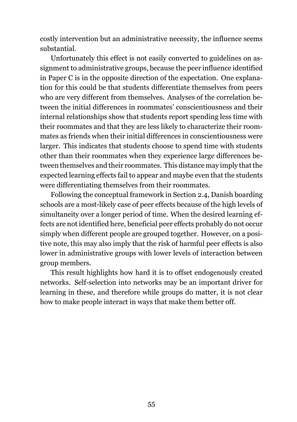costly intervention but an administrative necessity, the influence seems substantial.

Unfortunately this effect is not easily converted to guidelines on assignment to administrative groups, because the peer influence identified in Paper C is in the opposite direction of the expectation. One explanation for this could be that students differentiate themselves from peers who are very different from themselves. Analyses of the correlation between the initial differences in roommates' conscientiousness and their internal relationships show that students report spending less time with their roommates and that they are less likely to characterize their roommates as friends when their initial differences in conscientiousness were larger. This indicates that students choose to spend time with students other than their roommates when they experience large differences between themselves and their roommates. This distance may imply that the expected learning effects fail to appear and maybe even that the students were differentiating themselves from their roommates.

Following the conceptual framework in Section [2.4](#page-27-0), Danish boarding schools are a most-likely case of peer effects because of the high levels of simultaneity over a longer period of time. When the desired learning effects are not identified here, beneficial peer effects probably do not occur simply when different people are grouped together. However, on a positive note, this may also imply that the risk of harmful peer effects is also lower in administrative groups with lower levels of interaction between group members.

This result highlights how hard it is to offset endogenously created networks. Self-selection into networks may be an important driver for learning in these, and therefore while groups do matter, it is not clear how to make people interact in ways that make them better off.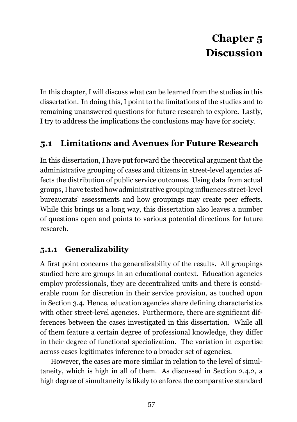# **Chapter 5 Discussion**

In this chapter, I will discuss what can be learned from the studies in this dissertation. In doing this, I point to the limitations of the studies and to remaining unanswered questions for future research to explore. Lastly, I try to address the implications the conclusions may have for society.

## <span id="page-56-0"></span>**5.1 Limitations and Avenues for Future Research**

In this dissertation, I have put forward the theoretical argument that the administrative grouping of cases and citizens in street-level agencies affects the distribution of public service outcomes. Using data from actual groups, I have tested how administrative grouping influences street-level bureaucrats' assessments and how groupings may create peer effects. While this brings us a long way, this dissertation also leaves a number of questions open and points to various potential directions for future research.

### **5.1.1 Generalizability**

A first point concerns the generalizability of the results. All groupings studied here are groups in an educational context. Education agencies employ professionals, they are decentralized units and there is considerable room for discretion in their service provision, as touched upon in Section [3.4.](#page-43-0) Hence, education agencies share defining characteristics with other street-level agencies. Furthermore, there are significant differences between the cases investigated in this dissertation. While all of them feature a certain degree of professional knowledge, they differ in their degree of functional specialization. The variation in expertise across cases legitimates inference to a broader set of agencies.

However, the cases are more similar in relation to the level of simultaneity, which is high in all of them. As discussed in Section [2.4.2,](#page-29-0) a high degree of simultaneity is likely to enforce the comparative standard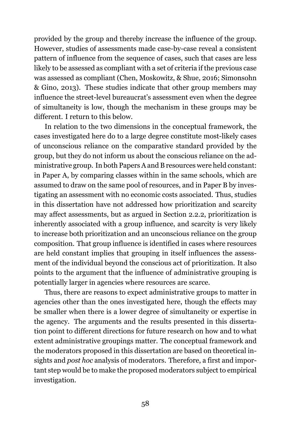provided by the group and thereby increase the influence of the group. However, studies of assessments made case-by-case reveal a consistent pattern of influence from the sequence of cases, such that cases are less likely to be assessed as compliant with a set of criteria if the previous case was assessed as compliant (Chen, Moskowitz, & Shue, [2016;](#page-67-0) Simonsohn & Gino, [2013\)](#page-73-0). These studies indicate that other group members may influence the street-level bureaucrat's assessment even when the degree of simultaneity is low, though the mechanism in these groups may be different. I return to this below.

In relation to the two dimensions in the conceptual framework, the cases investigated here do to a large degree constitute most-likely cases of unconscious reliance on the comparative standard provided by the group, but they do not inform us about the conscious reliance on the administrative group. In both Papers A and B resources were held constant: in Paper A, by comparing classes within in the same schools, which are assumed to draw on the same pool of resources, and in Paper B by investigating an assessment with no economic costs associated. Thus, studies in this dissertation have not addressed how prioritization and scarcity may affect assessments, but as argued in Section [2.2.2,](#page-19-0) prioritization is inherently associated with a group influence, and scarcity is very likely to increase both prioritization and an unconscious reliance on the group composition. That group influence is identified in cases where resources are held constant implies that grouping in itself influences the assessment of the individual beyond the conscious act of prioritization. It also points to the argument that the influence of administrative grouping is potentially larger in agencies where resources are scarce.

Thus, there are reasons to expect administrative groups to matter in agencies other than the ones investigated here, though the effects may be smaller when there is a lower degree of simultaneity or expertise in the agency. The arguments and the results presented in this dissertation point to different directions for future research on how and to what extent administrative groupings matter. The conceptual framework and the moderators proposed in this dissertation are based on theoretical insights and *post hoc* analysis of moderators. Therefore, a first and important step would be to make the proposed moderators subject to empirical investigation.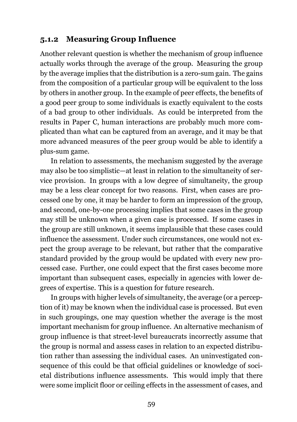### **5.1.2 Measuring Group Influence**

Another relevant question is whether the mechanism of group influence actually works through the average of the group. Measuring the group by the average implies that the distribution is a zero-sum gain. The gains from the composition of a particular group will be equivalent to the loss by others in another group. In the example of peer effects, the benefits of a good peer group to some individuals is exactly equivalent to the costs of a bad group to other individuals. As could be interpreted from the results in Paper C, human interactions are probably much more complicated than what can be captured from an average, and it may be that more advanced measures of the peer group would be able to identify a plus-sum game.

In relation to assessments, the mechanism suggested by the average may also be too simplistic—at least in relation to the simultaneity of service provision. In groups with a low degree of simultaneity, the group may be a less clear concept for two reasons. First, when cases are processed one by one, it may be harder to form an impression of the group, and second, one-by-one processing implies that some cases in the group may still be unknown when a given case is processed. If some cases in the group are still unknown, it seems implausible that these cases could influence the assessment. Under such circumstances, one would not expect the group average to be relevant, but rather that the comparative standard provided by the group would be updated with every new processed case. Further, one could expect that the first cases become more important than subsequent cases, especially in agencies with lower degrees of expertise. This is a question for future research.

In groups with higher levels of simultaneity, the average (or a perception of it) may be known when the individual case is processed. But even in such groupings, one may question whether the average is the most important mechanism for group influence. An alternative mechanism of group influence is that street-level bureaucrats incorrectly assume that the group is normal and assess cases in relation to an expected distribution rather than assessing the individual cases. An uninvestigated consequence of this could be that official guidelines or knowledge of societal distributions influence assessments. This would imply that there were some implicit floor or ceiling effects in the assessment of cases, and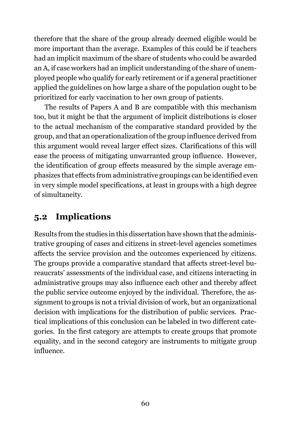therefore that the share of the group already deemed eligible would be more important than the average. Examples of this could be if teachers had an implicit maximum of the share of students who could be awarded an A, if case workers had an implicit understanding of the share of unemployed people who qualify for early retirement or if a general practitioner applied the guidelines on how large a share of the population ought to be prioritized for early vaccination to her own group of patients.

The results of Papers A and B are compatible with this mechanism too, but it might be that the argument of implicit distributions is closer to the actual mechanism of the comparative standard provided by the group, and that an operationalization of the group influence derived from this argument would reveal larger effect sizes. Clarifications of this will ease the process of mitigating unwarranted group influence. However, the identification of group effects measured by the simple average emphasizes that effects from administrative groupings can be identified even in very simple model specifications, at least in groups with a high degree of simultaneity.

## **5.2 Implications**

Results from the studies in this dissertation have shown that the administrative grouping of cases and citizens in street-level agencies sometimes affects the service provision and the outcomes experienced by citizens. The groups provide a comparative standard that affects street-level bureaucrats' assessments of the individual case, and citizens interacting in administrative groups may also influence each other and thereby affect the public service outcome enjoyed by the individual. Therefore, the assignment to groups is not a trivial division of work, but an organizational decision with implications for the distribution of public services. Practical implications of this conclusion can be labeled in two different categories. In the first category are attempts to create groups that promote equality, and in the second category are instruments to mitigate group influence.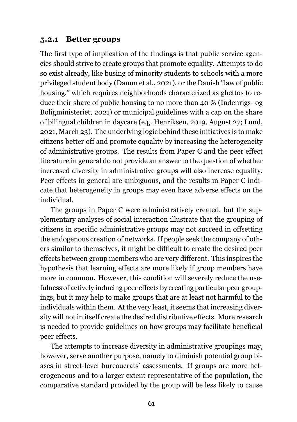### **5.2.1 Better groups**

The first type of implication of the findings is that public service agencies should strive to create groups that promote equality. Attempts to do so exist already, like busing of minority students to schools with a more privileged student body (Damm et al., [2021\)](#page-67-1), or the Danish "law of public housing," which requires neighborhoods characterized as ghettos to reduce their share of public housing to no more than 40 % (Indenrigs- og Boligministeriet, [2021\)](#page-70-0) or municipal guidelines with a cap on the share of bilingual children in daycare (e.g. Henriksen, [2019, August 27;](#page-69-0) Lund, [2021, March 23](#page-71-2)). The underlying logic behind these initiatives is to make citizens better off and promote equality by increasing the heterogeneity of administrative groups. The results from Paper C and the peer effect literature in general do not provide an answer to the question of whether increased diversity in administrative groups will also increase equality. Peer effects in general are ambiguous, and the results in Paper C indicate that heterogeneity in groups may even have adverse effects on the individual.

The groups in Paper C were administratively created, but the supplementary analyses of social interaction illustrate that the grouping of citizens in specific administrative groups may not succeed in offsetting the endogenous creation of networks. If people seek the company of others similar to themselves, it might be difficult to create the desired peer effects between group members who are very different. This inspires the hypothesis that learning effects are more likely if group members have more in common. However, this condition will severely reduce the usefulness of actively inducing peer effects by creating particular peer groupings, but it may help to make groups that are at least not harmful to the individuals within them. At the very least, it seems that increasing diversity will not in itself create the desired distributive effects. More research is needed to provide guidelines on how groups may facilitate beneficial peer effects.

The attempts to increase diversity in administrative groupings may, however, serve another purpose, namely to diminish potential group biases in street-level bureaucrats' assessments. If groups are more heterogeneous and to a larger extent representative of the population, the comparative standard provided by the group will be less likely to cause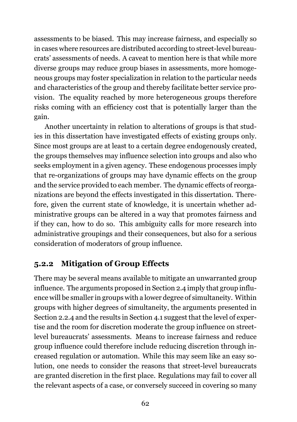assessments to be biased. This may increase fairness, and especially so in cases where resources are distributed according to street-level bureaucrats' assessments of needs. A caveat to mention here is that while more diverse groups may reduce group biases in assessments, more homogeneous groups may foster specialization in relation to the particular needs and characteristics of the group and thereby facilitate better service provision. The equality reached by more heterogeneous groups therefore risks coming with an efficiency cost that is potentially larger than the gain.

Another uncertainty in relation to alterations of groups is that studies in this dissertation have investigated effects of existing groups only. Since most groups are at least to a certain degree endogenously created, the groups themselves may influence selection into groups and also who seeks employment in a given agency. These endogenous processes imply that re-organizations of groups may have dynamic effects on the group and the service provided to each member. The dynamic effects of reorganizations are beyond the effects investigated in this dissertation. Therefore, given the current state of knowledge, it is uncertain whether administrative groups can be altered in a way that promotes fairness and if they can, how to do so. This ambiguity calls for more research into administrative groupings and their consequences, but also for a serious consideration of moderators of group influence.

### **5.2.2 Mitigation of Group Effects**

There may be several means available to mitigate an unwarranted group influence. The arguments proposed in Section [2.4](#page-27-0) imply that group influence will be smaller in groups with a lower degree of simultaneity. Within groups with higher degrees of simultaneity, the arguments presented in Section [2.2.4](#page-22-0) and the results in Section [4.1](#page-46-0) suggest that the level of expertise and the room for discretion moderate the group influence on streetlevel bureaucrats' assessments. Means to increase fairness and reduce group influence could therefore include reducing discretion through increased regulation or automation. While this may seem like an easy solution, one needs to consider the reasons that street-level bureaucrats are granted discretion in the first place. Regulations may fail to cover all the relevant aspects of a case, or conversely succeed in covering so many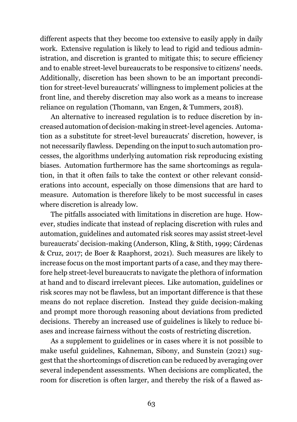different aspects that they become too extensive to easily apply in daily work. Extensive regulation is likely to lead to rigid and tedious administration, and discretion is granted to mitigate this; to secure efficiency and to enable street-level bureaucrats to be responsive to citizens' needs. Additionally, discretion has been shown to be an important precondition for street-level bureaucrats' willingness to implement policies at the front line, and thereby discretion may also work as a means to increase reliance on regulation (Thomann, van Engen, & Tummers, [2018\)](#page-73-1).

An alternative to increased regulation is to reduce discretion by increased automation of decision-making in street-level agencies. Automation as a substitute for street-level bureaucrats' discretion, however, is not necessarily flawless. Depending on the input to such automation processes, the algorithms underlying automation risk reproducing existing biases. Automation furthermore has the same shortcomings as regulation, in that it often fails to take the context or other relevant considerations into account, especially on those dimensions that are hard to measure. Automation is therefore likely to be most successful in cases where discretion is already low.

The pitfalls associated with limitations in discretion are huge. However, studies indicate that instead of replacing discretion with rules and automation, guidelines and automated risk scores may assist street-level bureaucrats' decision-making (Anderson, Kling, & Stith, [1999;](#page-66-1) Cárdenas & Cruz, [2017;](#page-67-2) de Boer & Raaphorst, [2021](#page-68-0)). Such measures are likely to increase focus on the most important parts of a case, and they may therefore help street-level bureaucrats to navigate the plethora of information at hand and to discard irrelevant pieces. Like automation, guidelines or risk scores may not be flawless, but an important difference is that these means do not replace discretion. Instead they guide decision-making and prompt more thorough reasoning about deviations from predicted decisions. Thereby an increased use of guidelines is likely to reduce biases and increase fairness without the costs of restricting discretion.

As a supplement to guidelines or in cases where it is not possible to make useful guidelines, Kahneman, Sibony, and Sunstein ([2021](#page-70-1)) suggest that the shortcomings of discretion can be reduced by averaging over several independent assessments. When decisions are complicated, the room for discretion is often larger, and thereby the risk of a flawed as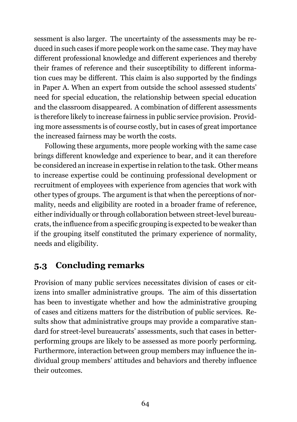sessment is also larger. The uncertainty of the assessments may be reduced in such cases if more people work on the same case. They may have different professional knowledge and different experiences and thereby their frames of reference and their susceptibility to different information cues may be different. This claim is also supported by the findings in Paper A. When an expert from outside the school assessed students' need for special education, the relationship between special education and the classroom disappeared. A combination of different assessments is therefore likely to increase fairness in public service provision. Providing more assessments is of course costly, but in cases of great importance the increased fairness may be worth the costs.

Following these arguments, more people working with the same case brings different knowledge and experience to bear, and it can therefore be considered an increase in expertise in relation to the task. Other means to increase expertise could be continuing professional development or recruitment of employees with experience from agencies that work with other types of groups. The argument is that when the perceptions of normality, needs and eligibility are rooted in a broader frame of reference, either individually or through collaboration between street-level bureaucrats, the influence from a specific grouping is expected to be weaker than if the grouping itself constituted the primary experience of normality, needs and eligibility.

### **5.3 Concluding remarks**

Provision of many public services necessitates division of cases or citizens into smaller administrative groups. The aim of this dissertation has been to investigate whether and how the administrative grouping of cases and citizens matters for the distribution of public services. Results show that administrative groups may provide a comparative standard for street-level bureaucrats' assessments, such that cases in betterperforming groups are likely to be assessed as more poorly performing. Furthermore, interaction between group members may influence the individual group members' attitudes and behaviors and thereby influence their outcomes.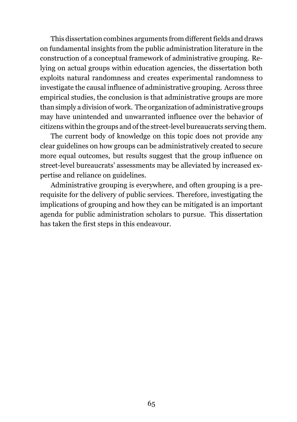This dissertation combines arguments from different fields and draws on fundamental insights from the public administration literature in the construction of a conceptual framework of administrative grouping. Relying on actual groups within education agencies, the dissertation both exploits natural randomness and creates experimental randomness to investigate the causal influence of administrative grouping. Across three empirical studies, the conclusion is that administrative groups are more than simply a division of work. The organization of administrative groups may have unintended and unwarranted influence over the behavior of citizens within the groups and of the street-level bureaucrats serving them.

The current body of knowledge on this topic does not provide any clear guidelines on how groups can be administratively created to secure more equal outcomes, but results suggest that the group influence on street-level bureaucrats' assessments may be alleviated by increased expertise and reliance on guidelines.

Administrative grouping is everywhere, and often grouping is a prerequisite for the delivery of public services. Therefore, investigating the implications of grouping and how they can be mitigated is an important agenda for public administration scholars to pursue. This dissertation has taken the first steps in this endeavour.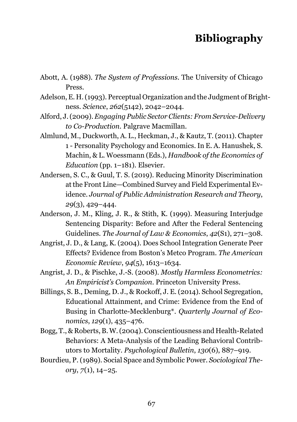## **Bibliography**

- Abott, A. (1988). *The System of Professions*. The University of Chicago Press.
- Adelson, E. H. (1993). Perceptual Organization and the Judgment of Brightness. *Science*, *262*(5142), 2042–2044.
- Alford, J. (2009).*Engaging Public Sector Clients: From Service-Delivery to Co-Production*. Palgrave Macmillan.
- Almlund, M., Duckworth, A. L., Heckman, J., & Kautz, T. (2011). Chapter 1 - Personality Psychology and Economics. In E. A. Hanushek, S. Machin, & L. Woessmann (Eds.), *Handbook of the Economics of Education* (pp. 1–181). Elsevier.
- Andersen, S. C., & Guul, T. S. (2019). Reducing Minority Discrimination at the Front Line—Combined Survey and Field Experimental Evidence. *Journal of Public Administration Research and Theory*, *29*(3), 429–444.
- <span id="page-66-1"></span>Anderson, J. M., Kling, J. R., & Stith, K. (1999). Measuring Interjudge Sentencing Disparity: Before and After the Federal Sentencing Guidelines. *The Journal of Law & Economics*, *42*(S1), 271–308.
- Angrist, J. D., & Lang, K. (2004). Does School Integration Generate Peer Effects? Evidence from Boston's Metco Program. *The American Economic Review*, *94*(5), 1613–1634.
- <span id="page-66-0"></span>Angrist, J. D., & Pischke, J.-S. (2008). *Mostly Harmless Econometrics: An Empiricist's Companion*. Princeton University Press.
- Billings, S. B., Deming, D. J., & Rockoff, J. E. (2014). School Segregation, Educational Attainment, and Crime: Evidence from the End of Busing in Charlotte-Mecklenburg\*. *Quarterly Journal of Economics*, *129*(1), 435–476.
- Bogg, T., & Roberts, B.W. (2004). Conscientiousness and Health-Related Behaviors: A Meta-Analysis of the Leading Behavioral Contributors to Mortality. *Psychological Bulletin*, *130*(6), 887–919.
- Bourdieu, P. (1989). Social Space and Symbolic Power. *Sociological Theory*, *7*(1), 14–25.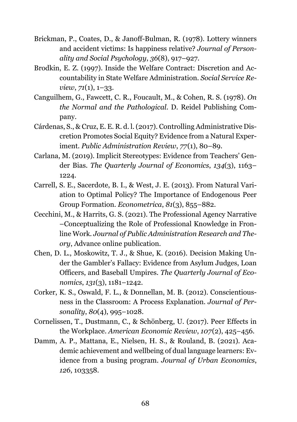- Brickman, P., Coates, D., & Janoff-Bulman, R. (1978). Lottery winners and accident victims: Is happiness relative? *Journal of Personality and Social Psychology*, *36*(8), 917–927.
- Brodkin, E. Z. (1997). Inside the Welfare Contract: Discretion and Accountability in State Welfare Administration. *Social Service Review*, *71*(1), 1–33.
- Canguilhem, G., Fawcett, C. R., Foucault, M., & Cohen, R. S. (1978). *On the Normal and the Pathological*. D. Reidel Publishing Company.
- <span id="page-67-2"></span>Cárdenas, S., & Cruz, E. E. R. d. l. (2017). Controlling Administrative Discretion Promotes Social Equity? Evidence from a Natural Experiment. *Public Administration Review*, *77*(1), 80–89.
- Carlana, M. (2019). Implicit Stereotypes: Evidence from Teachers' Gender Bias. *The Quarterly Journal of Economics*, *134*(3), 1163– 1224.
- Carrell, S. E., Sacerdote, B. I., & West, J. E. (2013). From Natural Variation to Optimal Policy? The Importance of Endogenous Peer Group Formation. *Econometrica*, *81*(3), 855–882.
- Cecchini, M., & Harrits, G. S. (2021). The Professional Agency Narrative –Conceptualizing the Role of Professional Knowledge in Fronline Work. *Journal of Public Administration Research and Theory*, Advance online publication.
- <span id="page-67-0"></span>Chen, D. L., Moskowitz, T. J., & Shue, K. (2016). Decision Making Under the Gambler's Fallacy: Evidence from Asylum Judges, Loan Officers, and Baseball Umpires. *The Quarterly Journal of Economics*, *131*(3), 1181–1242.
- Corker, K. S., Oswald, F. L., & Donnellan, M. B. (2012). Conscientiousness in the Classroom: A Process Explanation. *Journal of Personality*, *80*(4), 995–1028.
- Cornelissen, T., Dustmann, C., & Schönberg, U. (2017). Peer Effects in the Workplace. *American Economic Review*, *107*(2), 425–456.
- <span id="page-67-1"></span>Damm, A. P., Mattana, E., Nielsen, H. S., & Rouland, B. (2021). Academic achievement and wellbeing of dual language learners: Evidence from a busing program. *Journal of Urban Economics*, *126*, 103358.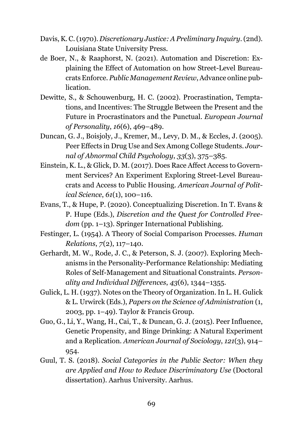- Davis, K. C. (1970). *Discretionary Justice: A Preliminary Inquiry.*(2nd). Louisiana State University Press.
- <span id="page-68-0"></span>de Boer, N., & Raaphorst, N. (2021). Automation and Discretion: Explaining the Effect of Automation on how Street-Level Bureaucrats Enforce. *Public Management Review*, Advance online pub**lication**
- Dewitte, S., & Schouwenburg, H. C. (2002). Procrastination, Temptations, and Incentives: The Struggle Between the Present and the Future in Procrastinators and the Punctual. *European Journal of Personality*, *16*(6), 469–489.
- Duncan, G. J., Boisjoly, J., Kremer, M., Levy, D. M., & Eccles, J. (2005). Peer Effects in Drug Use and Sex Among College Students. *Journal of Abnormal Child Psychology*, *33*(3), 375–385.
- Einstein, K. L., & Glick, D. M. (2017). Does Race Affect Access to Government Services? An Experiment Exploring Street-Level Bureaucrats and Access to Public Housing. *American Journal of Political Science*, *61*(1), 100–116.
- Evans, T., & Hupe, P. (2020). Conceptualizing Discretion. In T. Evans & P. Hupe (Eds.), *Discretion and the Quest for Controlled Freedom* (pp. 1–13). Springer International Publishing.
- Festinger, L. (1954). A Theory of Social Comparison Processes. *Human Relations*, *7*(2), 117–140.
- Gerhardt, M. W., Rode, J. C., & Peterson, S. J. (2007). Exploring Mechanisms in the Personality-Performance Relationship: Mediating Roles of Self-Management and Situational Constraints. *Personality and Individual Differences*, *43*(6), 1344–1355.
- Gulick, L. H. (1937). Notes on the Theory of Organization. In L. H. Gulick & L. Urwirck (Eds.), *Papers on the Science of Administration* (1, 2003, pp. 1–49). Taylor & Francis Group.
- Guo, G., Li, Y., Wang, H., Cai, T., & Duncan, G. J. (2015). Peer Influence, Genetic Propensity, and Binge Drinking: A Natural Experiment and a Replication. *American Journal of Sociology*, *121*(3), 914– 954.
- Guul, T. S. (2018). *Social Categories in the Public Sector: When they are Applied and How to Reduce Discriminatory Use* (Doctoral dissertation). Aarhus University. Aarhus.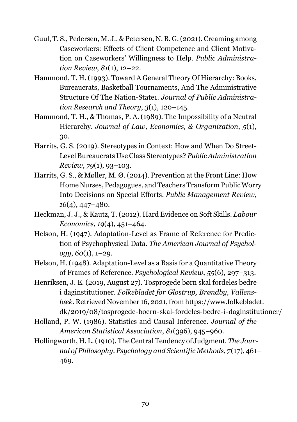- Guul, T. S., Pedersen, M. J., & Petersen, N. B. G. (2021). Creaming among Caseworkers: Effects of Client Competence and Client Motivation on Caseworkers' Willingness to Help. *Public Administration Review*, *81*(1), 12–22.
- Hammond, T. H. (1993). Toward A General Theory Of Hierarchy: Books, Bureaucrats, Basketball Tournaments, And The Administrative Structure Of The Nation-State1. *Journal of Public Administration Research and Theory*, *3*(1), 120–145.
- Hammond, T. H., & Thomas, P. A. (1989). The Impossibility of a Neutral Hierarchy. *Journal of Law, Economics, & Organization*, *5*(1), 30.
- Harrits, G. S. (2019). Stereotypes in Context: How and When Do Street-Level Bureaucrats Use Class Stereotypes? *Public Administration Review*, *79*(1), 93–103.
- Harrits, G. S., & Møller, M. Ø. (2014). Prevention at the Front Line: How Home Nurses, Pedagogues, and Teachers Transform PublicWorry Into Decisions on Special Efforts. *Public Management Review*, *16*(4), 447–480.
- Heckman, J. J., & Kautz, T. (2012). Hard Evidence on Soft Skills. *Labour Economics*, *19*(4), 451–464.
- Helson, H. (1947). Adaptation-Level as Frame of Reference for Prediction of Psychophysical Data. *The American Journal of Psychology*, *60*(1), 1–29.
- Helson, H. (1948). Adaptation-Level as a Basis for a Quantitative Theory of Frames of Reference. *Psychological Review*, *55*(6), 297–313.
- <span id="page-69-0"></span>Henriksen, J. E. (2019, August 27). Tosprogede børn skal fordeles bedre i daginstitutioner. *Folkebladet for Glostrup, Brøndby, Vallensbæk*. Retrieved November 16, 2021, from [https://www.folkebladet.](https://www.folkebladet.dk/2019/08/tosprogede-boern-skal-fordeles-bedre-i-daginstitutioner/) [dk/2019/08/tosprogede-boern-skal-fordeles-bedre-i-daginstitutioner/](https://www.folkebladet.dk/2019/08/tosprogede-boern-skal-fordeles-bedre-i-daginstitutioner/)
- Holland, P. W. (1986). Statistics and Causal Inference. *Journal of the American Statistical Association*, *81*(396), 945–960.
- Hollingworth, H. L. (1910). The Central Tendency of Judgment. *The Journal of Philosophy, Psychology and Scientific Methods*, *7*(17), 461– 469.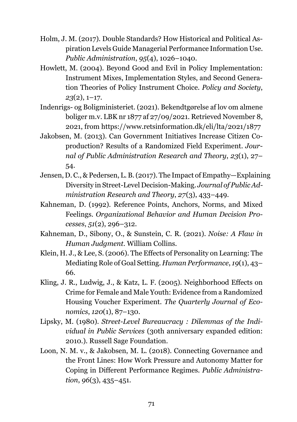- Holm, J. M. (2017). Double Standards? How Historical and Political Aspiration Levels Guide Managerial Performance Information Use. *Public Administration*, *95*(4), 1026–1040.
- Howlett, M. (2004). Beyond Good and Evil in Policy Implementation: Instrument Mixes, Implementation Styles, and Second Generation Theories of Policy Instrument Choice. *Policy and Society*, *23*(2), 1–17.
- <span id="page-70-0"></span>Indenrigs- og Boligministeriet. (2021). Bekendtgørelse af lov om almene boliger m.v. LBK nr 1877 af 27/09/2021. Retrieved November 8, 2021, from <https://www.retsinformation.dk/eli/lta/2021/1877>
- Jakobsen, M. (2013). Can Government Initiatives Increase Citizen Coproduction? Results of a Randomized Field Experiment. *Journal of Public Administration Research and Theory*, *23*(1), 27– 54.
- Jensen, D. C., & Pedersen, L. B. (2017). The Impact of Empathy—Explaining Diversity in Street-Level Decision-Making. *Journal of Public Administration Research and Theory*, *27*(3), 433–449.
- Kahneman, D. (1992). Reference Points, Anchors, Norms, and Mixed Feelings. *Organizational Behavior and Human Decision Processes*, *51*(2), 296–312.
- <span id="page-70-1"></span>Kahneman, D., Sibony, O., & Sunstein, C. R. (2021). *Noise: A Flaw in Human Judgment*. William Collins.
- Klein, H. J., & Lee, S. (2006). The Effects of Personality on Learning: The Mediating Role of Goal Setting. *Human Performance*, *19*(1), 43– 66.
- Kling, J. R., Ludwig, J., & Katz, L. F. (2005). Neighborhood Effects on Crime for Female and Male Youth: Evidence from a Randomized Housing Voucher Experiment. *The Quarterly Journal of Economics*, *120*(1), 87–130.
- Lipsky, M. (1980). *Street-Level Bureaucracy : Dilemmas of the Individual in Public Services* (30th anniversary expanded edition: 2010.). Russell Sage Foundation.
- Loon, N. M. v., & Jakobsen, M. L. (2018). Connecting Governance and the Front Lines: How Work Pressure and Autonomy Matter for Coping in Different Performance Regimes. *Public Administration*, *96*(3), 435–451.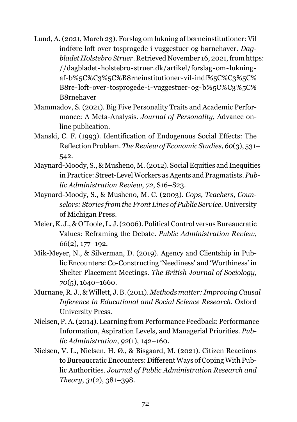- <span id="page-71-2"></span>Lund, A. (2021, March 23). Forslag om lukning af børneinstitutioner: Vil indføre loft over tosprogede i vuggestuer og børnehaver. *Dagbladet Holstebro Struer*. Retrieved November 16, 2021, from [https:](https://dagbladet-holstebro-struer.dk/artikel/forslag-om-lukning-af-b%5C%C3%5C%B8rneinstitutioner-vil-indf%5C%C3%5C%B8re-loft-over-tosprogede-i-vuggestuer-og-b%5C%C3%5C%B8rnehaver) [//dagbladet-holstebro-struer.dk/artikel/forslag-om-lukning](https://dagbladet-holstebro-struer.dk/artikel/forslag-om-lukning-af-b%5C%C3%5C%B8rneinstitutioner-vil-indf%5C%C3%5C%B8re-loft-over-tosprogede-i-vuggestuer-og-b%5C%C3%5C%B8rnehaver)[af-b%5C%C3%5C%B8rneinstitutioner-vil-indf%5C%C3%5C%](https://dagbladet-holstebro-struer.dk/artikel/forslag-om-lukning-af-b%5C%C3%5C%B8rneinstitutioner-vil-indf%5C%C3%5C%B8re-loft-over-tosprogede-i-vuggestuer-og-b%5C%C3%5C%B8rnehaver) [B8re-loft-over- tosprogede-i-vuggestuer-og-b%5C%C3%5C%](https://dagbladet-holstebro-struer.dk/artikel/forslag-om-lukning-af-b%5C%C3%5C%B8rneinstitutioner-vil-indf%5C%C3%5C%B8re-loft-over-tosprogede-i-vuggestuer-og-b%5C%C3%5C%B8rnehaver) [B8rnehaver](https://dagbladet-holstebro-struer.dk/artikel/forslag-om-lukning-af-b%5C%C3%5C%B8rneinstitutioner-vil-indf%5C%C3%5C%B8re-loft-over-tosprogede-i-vuggestuer-og-b%5C%C3%5C%B8rnehaver)
- Mammadov, S. (2021). Big Five Personality Traits and Academic Performance: A Meta-Analysis. *Journal of Personality*, Advance online publication.
- <span id="page-71-0"></span>Manski, C. F. (1993). Identification of Endogenous Social Effects: The Reflection Problem. *The Review of Economic Studies*, *60*(3), 531– 542.
- Maynard-Moody, S., & Musheno, M. (2012). Social Equities and Inequities in Practice: Street-LevelWorkers as Agents and Pragmatists. *Public Administration Review*, *72*, S16–S23.
- Maynard-Moody, S., & Musheno, M. C. (2003). *Cops, Teachers, Counselors: Stories from the Front Lines of Public Service*. University of Michigan Press.
- <span id="page-71-1"></span>Meier, K. J., & O'Toole, L. J. (2006). Political Control versus Bureaucratic Values: Reframing the Debate. *Public Administration Review*, *66*(2), 177–192.
- Mik-Meyer, N., & Silverman, D. (2019). Agency and Clientship in Public Encounters: Co-Constructing 'Neediness' and 'Worthiness' in Shelter Placement Meetings. *The British Journal of Sociology*, *70*(5), 1640–1660.
- Murnane, R. J., &Willett, J. B. (2011). *Methods matter: Improving Causal Inference in Educational and Social Science Research*. Oxford University Press.
- Nielsen, P. A. (2014). Learning from Performance Feedback: Performance Information, Aspiration Levels, and Managerial Priorities. *Public Administration*, *92*(1), 142–160.
- Nielsen, V. L., Nielsen, H. Ø., & Bisgaard, M. (2021). Citizen Reactions to Bureaucratic Encounters: Different Ways of Coping With Public Authorities. *Journal of Public Administration Research and Theory*, *31*(2), 381–398.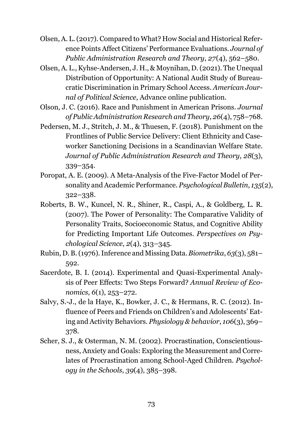- Olsen, A. L. (2017). Compared to What? How Social and Historical Reference Points Affect Citizens' Performance Evaluations. *Journal of Public Administration Research and Theory*, *27*(4), 562–580.
- Olsen, A. L., Kyhse-Andersen, J. H., & Moynihan, D. (2021). The Unequal Distribution of Opportunity: A National Audit Study of Bureaucratic Discrimination in Primary School Access. *American Journal of Political Science*, Advance online publication.
- Olson, J. C. (2016). Race and Punishment in American Prisons. *Journal of Public Administration Research and Theory*, *26*(4), 758–768.
- Pedersen, M. J., Stritch, J. M., & Thuesen, F. (2018). Punishment on the Frontlines of Public Service Delivery: Client Ethnicity and Caseworker Sanctioning Decisions in a Scandinavian Welfare State. *Journal of Public Administration Research and Theory*, *28*(3), 339–354.
- Poropat, A. E. (2009). A Meta-Analysis of the Five-Factor Model of Personality and Academic Performance. *Psychological Bulletin*, *135*(2), 322–338.
- Roberts, B. W., Kuncel, N. R., Shiner, R., Caspi, A., & Goldberg, L. R. (2007). The Power of Personality: The Comparative Validity of Personality Traits, Socioeconomic Status, and Cognitive Ability for Predicting Important Life Outcomes. *Perspectives on Psychological Science*, *2*(4), 313–345.
- Rubin, D. B. (1976). Inference and Missing Data.*Biometrika*, *63*(3), 581– 592.
- Sacerdote, B. I. (2014). Experimental and Quasi-Experimental Analysis of Peer Effects: Two Steps Forward? *Annual Review of Economics*, *6*(1), 253–272.
- Salvy, S.-J., de la Haye, K., Bowker, J. C., & Hermans, R. C. (2012). Influence of Peers and Friends on Children's and Adolescents' Eating and Activity Behaviors. *Physiology & behavior*, *106*(3), 369– 378.
- Scher, S. J., & Osterman, N. M. (2002). Procrastination, Conscientiousness, Anxiety and Goals: Exploring the Measurement and Correlates of Procrastination among School-Aged Children. *Psychology in the Schools*, *39*(4), 385–398.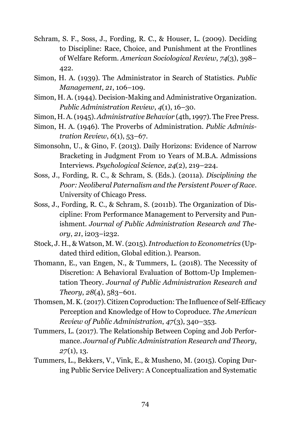- Schram, S. F., Soss, J., Fording, R. C., & Houser, L. (2009). Deciding to Discipline: Race, Choice, and Punishment at the Frontlines of Welfare Reform. *American Sociological Review*, *74*(3), 398– 422.
- Simon, H. A. (1939). The Administrator in Search of Statistics. *Public Management*, *21*, 106–109.
- Simon, H. A. (1944). Decision-Making and Administrative Organization. *Public Administration Review*, *4*(1), 16–30.
- Simon, H. A. (1945).*Administrative Behavior* (4th, 1997). The Free Press.
- Simon, H. A. (1946). The Proverbs of Administration. *Public Administration Review*, *6*(1), 53–67.
- Simonsohn, U., & Gino, F. (2013). Daily Horizons: Evidence of Narrow Bracketing in Judgment From 10 Years of M.B.A. Admissions Interviews. *Psychological Science*, *24*(2), 219–224.
- Soss, J., Fording, R. C., & Schram, S. (Eds.). (2011a). *Disciplining the Poor: Neoliberal Paternalism and the Persistent Power of Race*. University of Chicago Press.
- Soss, J., Fording, R. C., & Schram, S. (2011b). The Organization of Discipline: From Performance Management to Perversity and Punishment. *Journal of Public Administration Research and Theory*, *21*, i203–i232.
- Stock, J. H., & Watson, M. W. (2015).*Introduction to Econometrics* (Updated third edition, Global edition.). Pearson.
- Thomann, E., van Engen, N., & Tummers, L. (2018). The Necessity of Discretion: A Behavioral Evaluation of Bottom-Up Implementation Theory. *Journal of Public Administration Research and Theory*, *28*(4), 583–601.
- Thomsen, M. K. (2017). Citizen Coproduction: The Influence of Self-Efficacy Perception and Knowledge of How to Coproduce. *The American Review of Public Administration*, *47*(3), 340–353.
- Tummers, L. (2017). The Relationship Between Coping and Job Performance. *Journal of Public Administration Research and Theory*, *27*(1), 13.
- Tummers, L., Bekkers, V., Vink, E., & Musheno, M. (2015). Coping During Public Service Delivery: A Conceptualization and Systematic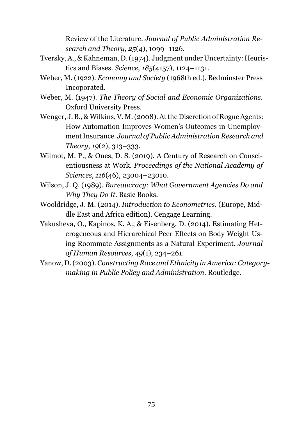Review of the Literature. *Journal of Public Administration Research and Theory*, *25*(4), 1099–1126.

- Tversky, A., & Kahneman, D. (1974). Judgment under Uncertainty: Heuristics and Biases. *Science*, *185*(4157), 1124–1131.
- Weber, M. (1922). *Economy and Society* (1968th ed.). Bedminster Press Incoporated.
- Weber, M. (1947). *The Theory of Social and Economic Organizations*. Oxford University Press.
- Wenger, J. B., & Wilkins, V. M. (2008). At the Discretion of Rogue Agents: How Automation Improves Women's Outcomes in Unemployment Insurance. *Journal of Public Administration Research and Theory*, *19*(2), 313–333.
- Wilmot, M. P., & Ones, D. S. (2019). A Century of Research on Conscientiousness at Work. *Proceedings of the National Academy of Sciences*, *116*(46), 23004–23010.
- Wilson, J. Q. (1989). *Bureaucracy: What Government Agencies Do and Why They Do It*. Basic Books.
- Wooldridge, J. M. (2014). *Introduction to Econometrics.* (Europe, Middle East and Africa edition). Cengage Learning.
- Yakusheva, O., Kapinos, K. A., & Eisenberg, D. (2014). Estimating Heterogeneous and Hierarchical Peer Effects on Body Weight Using Roommate Assignments as a Natural Experiment. *Journal of Human Resources*, *49*(1), 234–261.
- Yanow, D. (2003).*Constructing Race and Ethnicity in America: Categorymaking in Public Policy and Administration*. Routledge.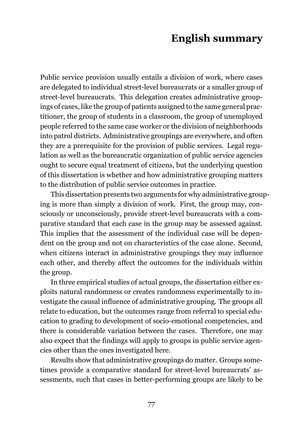## **English summary**

Public service provision usually entails a division of work, where cases are delegated to individual street-level bureaucrats or a smaller group of street-level bureaucrats. This delegation creates administrative groupings of cases, like the group of patients assigned to the same general practitioner, the group of students in a classroom, the group of unemployed people referred to the same case worker or the division of neighborhoods into patrol districts. Administrative groupings are everywhere, and often they are a prerequisite for the provision of public services. Legal regulation as well as the bureaucratic organization of public service agencies ought to secure equal treatment of citizens, but the underlying question of this dissertation is whether and how administrative grouping matters to the distribution of public service outcomes in practice.

This dissertation presents two arguments for why administrative grouping is more than simply a division of work. First, the group may, consciously or unconsciously, provide street-level bureaucrats with a comparative standard that each case in the group may be assessed against. This implies that the assessment of the individual case will be dependent on the group and not on characteristics of the case alone. Second, when citizens interact in administrative groupings they may influence each other, and thereby affect the outcomes for the individuals within the group.

In three empirical studies of actual groups, the dissertation either exploits natural randomness or creates randomness experimentally to investigate the causal influence of administrative grouping. The groups all relate to education, but the outcomes range from referral to special education to grading to development of socio-emotional competencies, and there is considerable variation between the cases. Therefore, one may also expect that the findings will apply to groups in public service agencies other than the ones investigated here.

Results show that administrative groupings do matter. Groups sometimes provide a comparative standard for street-level bureaucrats' assessments, such that cases in better-performing groups are likely to be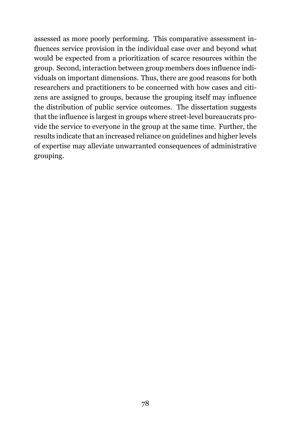assessed as more poorly performing. This comparative assessment influences service provision in the individual case over and beyond what would be expected from a prioritization of scarce resources within the group. Second, interaction between group members does influence individuals on important dimensions. Thus, there are good reasons for both researchers and practitioners to be concerned with how cases and citizens are assigned to groups, because the grouping itself may influence the distribution of public service outcomes. The dissertation suggests that the influence is largest in groups where street-level bureaucrats provide the service to everyone in the group at the same time. Further, the results indicate that an increased reliance on guidelines and higher levels of expertise may alleviate unwarranted consequences of administrative grouping.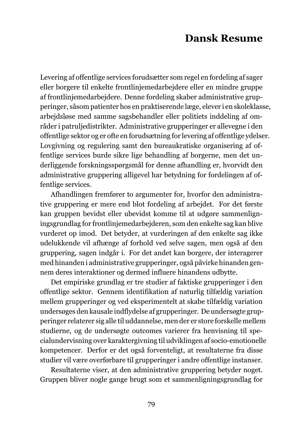## **Dansk Resume**

Levering af offentlige services forudsætter som regel en fordeling af sager eller borgere til enkelte frontlinjemedarbejdere eller en mindre gruppe af frontlinjemedarbejdere. Denne fordeling skaber administrative grupperinger, såsom patienter hos en praktiserende læge, elever i en skoleklasse, arbejdsløse med samme sagsbehandler eller politiets inddeling af områder i patruljedistrikter. Administrative grupperinger er allevegne i den offentlige sektor og er ofte en forudsætning for levering af offentlige ydelser. Lovgivning og regulering samt den bureaukratiske organisering af offentlige services burde sikre lige behandling af borgerne, men det underliggende forskningsspørgsmål for denne afhandling er, hvorvidt den administrative gruppering alligevel har betydning for fordelingen af offentlige services.

Afhandlingen fremfører to argumenter for, hvorfor den administrative gruppering er mere end blot fordeling af arbejdet. For det første kan gruppen bevidst eller ubevidst komme til at udgøre sammenligningsgrundlag for frontlinjemedarbejderen, som den enkelte sag kan blive vurderet op imod. Det betyder, at vurderingen af den enkelte sag ikke udelukkende vil afhænge af forhold ved selve sagen, men også af den gruppering, sagen indgår i. For det andet kan borgere, der interagerer med hinanden i administrative grupperinger, også påvirke hinanden gennem deres interaktioner og dermed influere hinandens udbytte.

Det empiriske grundlag er tre studier af faktiske grupperinger i den offentlige sektor. Gennem identifikation af naturlig tilfældig variation mellem grupperinger og ved eksperimentelt at skabe tilfældig variation undersøges den kausale indflydelse af grupperinger. De undersøgte grupperinger relaterer sig alle til uddannelse, men der er store forskelle mellem studierne, og de undersøgte outcomes varierer fra henvisning til specialundervisning over karaktergivning til udviklingen af socio-emotionelle kompetencer. Derfor er det også forventeligt, at resultaterne fra disse studier vil være overførbare til grupperinger i andre offentlige instanser.

Resultaterne viser, at den administrative gruppering betyder noget. Gruppen bliver nogle gange brugt som et sammenligningsgrundlag for